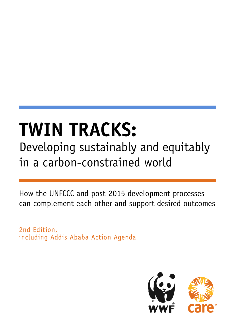# **TWIN TRACKS:** Developing sustainably and equitably in a carbon-constrained world

How the UNFCCC and post-2015 development processes can complement each other and support desired outcomes

2nd Edition, including Addis Ababa Action Agenda

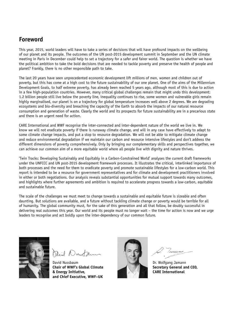### **Foreword**

This year, 2015, world leaders will have to take a series of decisions that will have profound impacts on the wellbeing of our planet and its people. The outcomes of the UN post-2015 development summit in September and the UN climate meeting in Paris in December could help to set a trajectory for a safer and fairer world. The question is whether we have the political ambition to take the bold decisions that are needed to tackle poverty and preserve the health of people and planet? Frankly, there is no other responsible path to take.

The last 20 years have seen unprecedented economic development lift millions of men, women and children out of poverty, but this has come at a high cost to the future sustainability of our one planet. One of the aims of the Millennium Development Goals, to half extreme poverty, has already been reached 5 years ago, although most of this is due to action in a few high-population countries. However, many critical global challenges remain that might undo this development: 1.2 billion people still live below the poverty line, inequality continues to rise, some women and vulnerable girls remain highly marginalised, our planet is on a trajectory for global temperature increases well above 2 degrees. We are degrading ecosystems and bio-diversity and breaching the capacity of the Earth to absorb the impacts of our natural resource consumption and generation of waste. Clearly the world and its prospects for future sustainability are in a precarious state and there is an urgent need for action.

CARE International and WWF recognise the inter-connected and inter-dependent nature of the world we live in. We know we will not eradicate poverty if there is runaway climate change, and will in any case have effectively to adapt to some climate change impacts, and put a stop to resource degradation. We will not be able to mitigate climate change and reduce environmental degradation if we maintain our carbon and resource intensive lifestyles and don't address the different dimensions of poverty comprehensively. Only by bringing our complementary skills and perspectives together, we can achieve our common aim of a more equitable world where all people live with dignity and nature thrives.

'Twin Tracks: Developing Sustainably and Equitably in a Carbon-Constrained World' analyses the current draft frameworks under the UNFCCC and UN post-2015 development framework processes. It illustrates the critical, interlinked importance of both processes and the need for them to eradicate poverty and promote sustainable lifestyles for a low-carbon world. This report is intended to be a resource for government representatives and for climate and development practitioners involved in either or both negotiations. Our analysis reveals substantial opportunities for mutual support towards many outcomes, and highlights where further agreements and ambition is required to accelerate progress towards a low-carbon, equitable and sustainable future.

The scale of the challenges we must meet to change towards a sustainable and equitable future is sizeable and often daunting. But solutions are available, and a future without tackling climate change or poverty would be terrible for all of humanity. The global community must, for the sake of this generation and all that follow, be doubly successful in delivering real outcomes this year. Our world and its people must no longer wait – the time for action is now and we urge leaders to recognise and act boldly upon the inter-dependency of our common future.



Dril Dunt

David Nussbaum **Chair of WWF's Global Climate & Energy Initiative, and Chief Executive, WWF–UK**



Dr. Wolfgang Jamann **Secretary General and CEO, CARE International**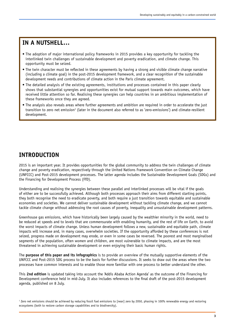### **IN A NUTSHELL…**

- The adoption of major international policy frameworks in 2015 provides a key opportunity for tackling the interlinked twin challenges of sustainable development and poverty eradication, and climate change. This opportunity must be seized.
- The twin character must be reflected in these agreements by having a strong and visible climate change narrative (including a climate goal) in the post-2015 development framework, and a clear recognition of the sustainable development needs and contributions of climate action in the Paris climate agreement.
- The detailed analysis of the existing agreements, institutions and processes contained in this paper clearly shows that substantial synergies and opportunities exist for mutual support towards main outcomes, which have received little attention so far. Realising these synergies can help countries in an ambitious implementation of these frameworks once they are agreed.
- The analysis also reveals areas where further agreements and ambition are required in order to accelerate the just transition to zero net emission<sup>1</sup> (later in the document also referred to as 'zero-emissions') and climate-resilient development.

### **INTRODUCTION**

2015 is an important year. It provides opportunities for the global community to address the twin challenges of climate change and poverty eradication, respectively through the United Nations Framework Convention on Climate Change (UNFCCC) and Post-2015 development processes. The latter agenda includes the Sustainable Development Goals (SDGs) and the Financing for Development Process (FfD).

Understanding and realising the synergies between these parallel and interlinked processes will be vital if the goals of either are to be successfully achieved. Although both processes approach their aims from different starting points, they both recognise the need to eradicate poverty, and both require a just transition towards equitable and sustainable economies and societies. We cannot deliver sustainable development without tackling climate change, and we cannot tackle climate change without addressing the root causes of poverty, inequality and unsustainable development patterns.

Greenhouse gas emissions, which have historically been largely caused by the wealthier minority in the world, need to be reduced at speeds and to levels that are commensurate with enabling humanity, and the rest of life on Earth, to avoid the worst impacts of climate change. Unless human development follows a new, sustainable and equitable path, climate impacts will increase and, in many cases, overwhelm societies. If the opportunity afforded by these conferences is not seized, progress made on development may erode, or even in some cases be reversed. The poorest and most marginalised segments of the population, often women and children, are most vulnerable to climate impacts, and are the most threatened in achieving sustainable development or even enjoying their basic human rights.

The **purpose of this paper and its infographics** is to provide an overview of the mutually supportive elements of the UNFCCC and Post-2015 SDG process to be the basis for further discussions. It seeks to draw out the areas where the two processes have common interests and to enable those more familiar with one process to better understand the other.

This **2nd edition** is updated taking into account the 'Addis Ababa Action Agenda' as the outcome of the Financing for Development conference held in mid-July. It also includes references to the final draft of the post-2015 development agenda, published on 8 July.

 $^{\rm 1}$  Zero net emissions should be achieved by reducing fossil fuel emissions to [near] zero by 2050, phasing in 100% renewable energy and restoring ecosystems (both to restore carbon storage capabilities and to biodiversity).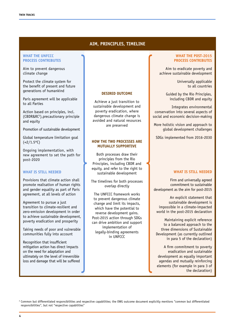### **AIM, PRINCIPLES, TIMELINE**

#### WHAT THE **UNFCCC PROCESS CONTRIBUTES**

Aim to prevent dangerous climate change

Protect the climate system for the benefit of present and future generations of humankind

Paris agreement will be applicable to all Parties

Action based on principles, incl. (CBDR&RC2 ),precautionary principle and equity

Promotion of sustainable development

Global temperature limitation goal  $(<2/1.5°C)$ 

Ongoing implementation, with new agreement to set the path for post-2020

### **WHAT IS STILL NEEDED**

Provisions that climate action shall promote realisation of human rights and gender equality as part of Paris agreement, at all levels of action

Agreement to pursue a just transition to climate-resilient and zero-emission development in order to achieve sustainable development, poverty eradication and prosperity

Taking needs of poor and vulnerable communities fully into account

Recognition that insufficient mitigation action has direct impacts on the need for adaptation and ultimately on the level of irreversible loss and damage that will be suffered

#### **DESIRED OUTCOME**

Achieve a just transition to sustainable development and poverty eradication, where dangerous climate change is avoided and natural resources are preserved

#### **HOW THE TWO PROCESSES ARE MUTUALLY SUPPORTIVE**

Both processes draw their principles from the Rio Principles, including CBDR and equity, and refer to the right to sustainable development

The timelines for both processes overlap directly

The UNFCCC framework works to prevent dangerous climate change and limit its impacts, which have the potential to reverse development gains. Post-2015 action through SDGs can drive ambition and support implementation of legally-binding agreements in UNFCCC

#### **WHAT THE POST-2015 PROCESS CONTRIBUTES**

Aim to eradicate poverty and achieve sustainable development

> Universally applicable to all countries

Guided by the Rio Principles, including CBDR and equity

Integrates environmental conservation into several aspects of social and economic decision-making

More holistic vision and approach to global development challenges

SDGs implemented from 2016-2030

### **WHAT IS STILL NEEDED**

Firm and universally agreed commitment to sustainable development as the aim for post-2015

An explicit statement that sustainable development is impossible in a climate-impacted world in the post-2015 declaration

Maintaining explicit reference to a balanced approach to the three dimensions of Sustainable Development (as currently outlined in para 5 of the declaration)

A firm commitment to poverty eradication and sustainable development as equally important agendas and mutually reinforcing elements (for example in para 3 of the declaration)

<sup>2</sup> Common but differentiated responsibilities and respective capabilities; the OWG outcome document explicitly mentions "common but differentiated responsibilities", but not "respective capabilities"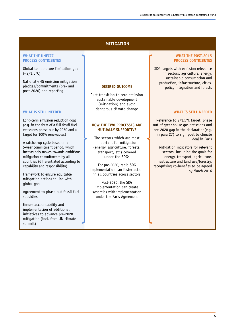### **MITIGATION**

### WHAT THE **UNFCCC PROCESS CONTRIBUTES**

Global temperature limitation goal  $(<2/1.5°C)$ 

National GHG emission mitigation pledges/commitments (pre- and post-2020) and reporting

### **WHAT IS STILL NEEDED**

Long-term emission reduction goal (e.g. in the form of a full fossil fuel emissions phase-out by 2050 and a target for 100% renewables)

A ratchet-up cycle based on a 5-year commitment period, which increasingly moves towards ambitious mitigation commitments by all countries (differentiated according to capability and responsibility)

Framework to ensure equitable mitigation actions in line with global goal

Agreement to phase out fossil fuel subsidies

Ensure accountability and implementation of additional initiatives to advance pre-2020 mitigation (incl. from UN climate summit)

#### **DESIRED OUTCOME**

Just transition to zero-emission sustainable development (mitigation) and avoid dangerous climate change

#### **HOW THE TWO PROCESSES ARE MUTUALLY SUPPORTIVE**

The sectors which are most important for mitigation (energy, agriculture, forests, transport, etc) covered under the SDGs

For pre-2020, rapid SDG implementation can foster action in all countries across sectors

Post-2020, the SDG implementation can create synergies with implementation under the Paris Agreement

### **WHAT THE POST-2015 PROCESS CONTRIBUTES**

SDG targets with emission relevance in sectors: agriculture, energy, sustainable consumption and production, infrastructure, cities, policy integration and forests

### **WHAT IS STILL NEEDED**

Reference to 2/1.5ºC target, phase out of greenhouse gas emissions and pre-2020 gap in the declaration(e.g. in para 27) to sign post to climate deal in Paris

Mitigation indicators for relevant sectors, including the goals for energy, transport, agriculture, infrastructure and land use/forestry, recognising co-benefits to be agreed by March 2016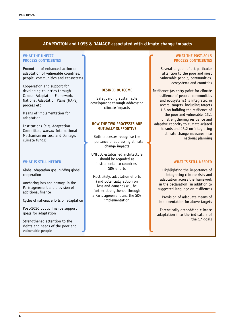### **ADAPTATION and LOSS & DAMAGE associated with climate change impacts**

#### WHAT THE **UNFCCC PROCESS CONTRIBUTES**

Promotion of enhanced action on adaptation of vulnerable countries, people, communities and ecosystems

Cooperation and support for developing countries through Cancun Adaptation Framework, National Adaptation Plans (NAPs) process etc

Means of implementation for adaptation

Institutions (e.g. Adaptation Committee, Warsaw International Mechanism on Loss and Damage, climate funds)

### **WHAT IS STILL NEEDED**

Global adaptation goal guiding global cooperation

Anchoring loss and damage in the Paris agreement and provision of additional finance

Cycles of national efforts on adaptation

Post-2020 public finance support goals for adaptation

Strengthened attention to the rights and needs of the poor and vulnerable people

#### **DESIRED OUTCOME**

Safeguarding sustainable development through addressing climate impacts

#### **HOW THE TWO PROCESSES ARE MUTUALLY SUPPORTIVE**

Both processes recognise the importance of addressing climate change impacts

UNFCCC established architecture should be regarded as instrumental to countries' SDG efforts

Most likely, adaptation efforts (and potentially action on loss and damage) will be further strengthened through a Paris agreement and the SDG implementation

### **WHAT THE POST-2015 PROCESS CONTRIBUTES**

Several targets reflect particular attention to the poor and most vulnerable people, communities, ecosystems and countries

Resilience (as entry point for climate resilience of people, communities and ecosystems) is integrated in several targets, including targets 1.5 on building the resilience of the poor and vulnerable, 13.1 on strengthening resilience and adaptive capacity to climate-related hazards and 13.2 on integrating climate change measures into national planning

### **WHAT IS STILL NEEDED**

Highlighting the importance of integrating climate risks and adaptation across the framework in the declaration (in addition to suggested language on resilience)

Provision of adequate means of implementation for above targets

Forensically embedding climate adaptation into the indicators of the 17 goals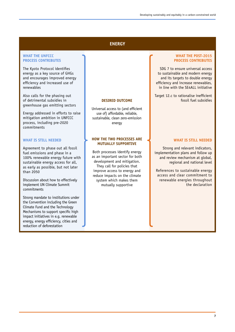### **ENERGY**

#### WHAT THE **UNFCCC PROCESS CONTRIBUTES**

The Kyoto Protocol identifies energy as a key source of GHGs and encourages improved energy efficiency and increased use of renewables

Also calls for the phasing out of detrimental subsidies in greenhouse gas emitting sectors

Energy addressed in efforts to raise mitigation ambition in UNFCCC process, including pre-2020 commitments

### **WHAT IS STILL NEEDED**

Agreement to phase out all fossil fuel emissions and phase in a 100% renewable energy future with sustainable energy access for all, as early as possible, but not later than 2050

Discussion about how to effectively implement UN Climate Summit commitments

Strong mandate to institutions under the Convention including the Green Climate Fund and the Technology Mechanisms to support specific high impact initiatives in e.g. renewable energy, energy efficiency, cities and reduction of deforestation

#### **DESIRED OUTCOME**

Universal access to (and efficient use of) affordable, reliable, sustainable, clean zero-emission energy

#### **HOW THE TWO PROCESSES ARE MUTUALLY SUPPORTIVE**

Both processes identify energy as an important sector for both development and mitigation. They call for policies that improve access to energy and reduce impacts on the climate system which makes them mutually supportive

#### **WHAT THE POST-2015 PROCESS CONTRIBUTES**

SDG 7 to ensure universal access to sustainable and modern energy and its targets to double energy efficiency and increase renewables, in line with the SE4ALL initiative

Target 12.c to rationalise inefficient fossil fuel subsidies

#### **WHAT IS STILL NEEDED**

Strong and relevant indicators, implementation plans and follow up and review mechanism at global, regional and national level

References to sustainable energy access and clear commitment to renewable energies throughout the declaration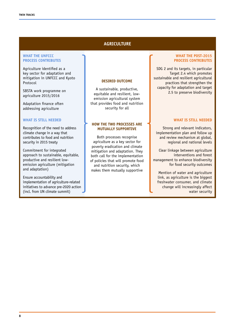### **AGRICULTURE**

#### WHAT THE **UNFCCC PROCESS CONTRIBUTES**

Agriculture identified as a key sector for adaptation and mitigation in UNFCCC and Kyoto Protocol

SBSTA work programme on agriculture 2015/2016

Adaptation finance often addressing agriculture

### **WHAT IS STILL NEEDED**

Recognition of the need to address climate change in a way that contributes to food and nutrition security in 2015 treaty

Commitment for integrated approach to sustainable, equitable, productive and resilient lowemission agriculture (mitigation and adaptation)

Ensure accountability and implementation of agriculture-related initiatives to advance pre-2020 action (incl. from UN climate summit)

### **DESIRED OUTCOME**

A sustainable, productive, equitable and resilient, lowemission agricultural system that provides food and nutrition security for all

### **HOW THE TWO PROCESSES ARE MUTUALLY SUPPORTIVE**

Both processes recognise agriculture as a key sector for poverty eradication and climate mitigation and adaptation. They both call for the implementation of policies that will promote food and nutrition security, which makes them mutually supportive

### **WHAT THE POST-2015 PROCESS CONTRIBUTES**

SDG 2 and its targets, in particular Target 2.4 which promotes sustainable and resilient agricultural practices that strengthen the capacity for adaptation and target 2.5 to preserve biodiversity

#### **WHAT IS STILL NEEDED**

Strong and relevant indicators, implementation plan and follow up and review mechanism at global, regional and national levels

Clear linkage between agriculture interventions and forest management to enhance biodiversity for food security outcomes

Mention of water and agriculture link, as agriculture is the biggest freshwater consumer, and climate change will increasingly affect water security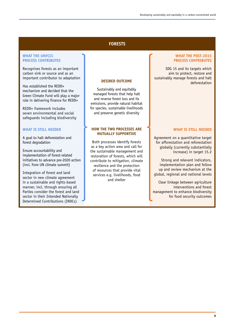### **FORESTS**

### WHAT THE **UNFCCC PROCESS CONTRIBUTES**

Recognises forests as an important carbon sink or source and as an important contributor to adaptation

Has established the REDD+ mechanism and decided that the Green Climate Fund will play a major role in delivering finance for REDD+

REDD+ framework includes seven environmental and social safeguards including biodiversity

### **WHAT IS STILL NEEDED**

A goal to halt deforestation and forest degradation

Ensure accountability and implementation of forest-related initiatives to advance pre-2020 action (incl. from UN climate summit)

Integration of forest and land sector in new climate agreement in a sustainable and rights-based manner, incl. through ensuring all Parties consider the forest and land sector in their Intended Nationally Determined Contributions (INDCs)

### **DESIRED OUTCOME**

Sustainably and equitably managed forests that help halt and reverse forest loss and its emissions, provide natural habitat for species, sustainable livelihoods and preserve genetic diversity

### **HOW THE TWO PROCESSES ARE MUTUALLY SUPPORTIVE**

Both processes identify forests as a key action area and call for the sustainable management and restoration of forests, which will contribute to mitigation, climate resilience and the protection of resources that provide vital services e.g. livelihoods, food and shelter

### **WHAT THE POST-2015 PROCESS CONTRIBUTES**

SDG 15 and its targets which aim to protect, restore and sustainably manage forests and halt deforestation

#### **WHAT IS STILL NEEDED**

Agreement on a quantitative target for afforestation and reforestation globally (currently substantially increase) in target 15.2

Strong and relevant indicators, implementation plan and follow up and review mechanism at the global, regional and national levels

Clear linkage between agriculture interventions and forest management to enhance biodiversity for food security outcomes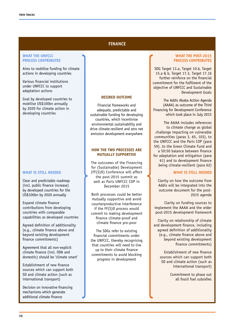### **FINANCE**

#### WHAT THE **UNFCCC PROCESS CONTRIBUTES**

Aims to mobilise funding for climate actions in developing countries

Various financial institutions under UNFCCC to support adaptation actions

Goal by developed countries to mobilise US\$100bn annually by 2020 for climate action in developing countries

#### **WHAT IS STILL NEEDED**

Clear and predictable roadmap (incl. public finance increase) by developed countries for the US\$100bn by 2020 annually

Expand climate finance contributions from developing countries with comparable capabilities as developed countries

Agreed definition of additionality (e.g., climate finance above and beyond existing development finance commitments)

Agreement that all non-explicit climate finance (incl. ODA and domestic) should be 'climate smart'

Establishment of new finance sources which can support both SD and climate action (such as international transport)

Decision on innovative financing mechanisms which generate additional climate finance

#### **DESIRED OUTCOME**

Financial frameworks and adequate, predictable and sustainable funding for developing countries, which incentivise environmental sustainability and drive climate-resilient and zero net emission development everywhere

### **HOW THE TWO PROCESSES ARE MUTUALLY SUPPORTIVE**

The outcomes of the Financing for (Sustainable) Development (FF(S)D) Conference will affect the post-2015 summit as well as Paris UNFCCC COP in December 2015

Both processes could be better mutually supportive and avoid counterproductive interference if the FF(S)D process would commit to making development finance climate-proof and climate finance pro-poor

The SDGs refer to existing financial commitments under the UNFCCC, thereby recognising that countries will need to live up to their climate finance commitments to avoid blocking progress in development

#### **WHAT THE POST-2015 PROCESS CONTRIBUTES**

SDG Target 13.a, Target 10.b, Target 15.a & b, Target 17.3, Target 17.16 further reinforce on the financial commitment for the fulfilment of the objective of UNFCCC and Sustainable Development Goals

The Addis Ababa Action Agenda (AAAA) as outcome of the Third Financing for Development Conference which took place in July 2015

The AAAA includes references to climate change as global challenge impacting on vulnerable communities (paras 3, 65, 103), to the UNFCCC and the Paris COP (para 59), to the Green Climate Fund and a 50:50 balance between finance for adaptation and mitigation (para 61) and to development finance being climate-resilient (para 62)

#### **WHAT IS STILL NEEDED**

Clarity on how the outcome from Addis will be integrated into the outcome document for the post-2015 agenda

Clarity on funding sources to implement the AAAA and the wider post-2015 development framework

Clarity on relationship of climate and development finance, including agreed definition of additionality (e.g., climate finance above and beyond existing development finance commitments)

> Establishment of new finance sources which can support both SD and climate action (such as international transport)

> > Commitment to phase out all fossil fuel subsidies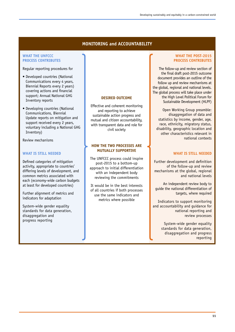### **MONITORING and ACCOUNTABILITY**

### WHAT THE **UNFCCC PROCESS CONTRIBUTES**

Regular reporting procedures for

- Developed countries (National Communications every 4 years, Biennial Reports every 2 years) covering actions and financial support; Annual National GHG Inventory reports
- Developing countries (National Communications, Biennial Update reports on mitigation and support received every 2 years, voluntary including a National GHG Inventory)

Review mechanisms

### **WHAT IS STILL NEEDED**

Defined categories of mitigation activity, appropriate to countries' differing levels of development, and common metrics associated with each (economy-wide carbon budgets at least for developed countries)

Further alignment of metrics and indicators for adaptation

System-wide gender equality standards for data generation, disaggregation and progress reporting

### **DESIRED OUTCOME**

Effective and coherent monitoring and reporting to achieve sustainable action progress and mutual and citizen accountability, with transparent data and role for civil society

### **HOW THE TWO PROCESSES ARE MUTUALLY SUPPORTIVE**

The UNFCCC process could inspire post-2015 to a bottom-up approach to initial differentiation with an independent body reviewing the commitments

It would be in the best interests of all countries if both processes use the same indicators and metrics where possible

### **WHAT THE POST-2015 PROCESS CONTRIBUTES**

The follow-up and review section of the final draft post-2015 outcome document provides an outline of the follow up and review mechanisms at the global, regional and national levels. The global process will take place under the High Level Political Forum for Sustainable Development (HLPF)

Open Working Group preamble: disaggregation of data and statistics by income, gender, age, race, ethnicity, migratory status, disability, geographic location and other characteristics relevant in national contexts

### **WHAT IS STILL NEEDED**

Further development and definition of the follow-up and review mechanisms at the global, regional and national levels

An independent review body to guide the national differentiation of targets, where required

Indicators to support monitoring and accountability and guidance for national reporting and review processes

> System-wide gender equality standards for data generation, disaggregation and progress reporting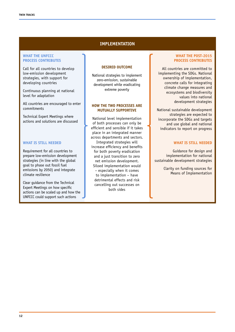### **IMPLEMENTATION**

#### WHAT THE **UNFCCC PROCESS CONTRIBUTES**

Call for all countries to develop low-emission development strategies, with support for developing countries

Continuous planning at national level for adaptation

All countries are encouraged to enter commitments

Technical Expert Meetings where actions and solutions are discussed

### **WHAT IS STILL NEEDED**

Requirement for all countries to prepare low-emission development strategies (in line with the global goal to phase out fossil fuel emissions by 2050) and integrate climate resilience

Clear guidance from the Technical Expert Meetings on how specific actions can be scaled up and how the UNFCCC could support such actions

#### **DESIRED OUTCOME**

National strategies to implement zero-emission, sustainable development while eradicating extreme poverty

### **HOW THE TWO PROCESSES ARE MUTUALLY SUPPORTIVE**

National level implementation of both processes can only be efficient and sensible if it takes place in an integrated manner across departments and sectors. Integrated strategies will increase efficiency and benefits for both poverty eradication and a just transition to zero net emission development. Siloed implementation would – especially when it comes to implementation – have detrimental effects and risk cancelling out successes on both sides

### **WHAT THE POST-2015 PROCESS CONTRIBUTES**

All countries are committed to implementing the SDGs. National ownership of implementation, concrete calls for integrating climate change measures and ecosystems and biodiversity values into national development strategies

National sustainable development strategies are expected to incorporate the SDGs and targets and use global and national indicators to report on progress

### **WHAT IS STILL NEEDED**

Guidance for design and implementation for national sustainable development strategies

> Clarity on funding sources for Means of Implementation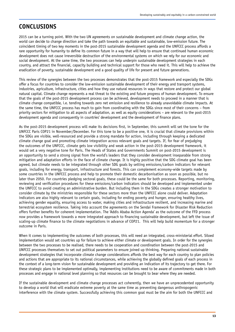### **CONCLUSIONS**

2015 can be a turning point. With the two UN agreements on sustainable development and climate change action, the world can decide to change direction and take the path towards an equitable and sustainable, low-emission future. The coincident timing of two key moments in the post-2015 sustainable development agenda and the UNFCCC process affords a rare opportunity for humanity to define its common future in a way that will help to ensure that continued human economic development does not cause irreversible destruction of the environmental systems on which we rely for our economic and social development. At the same time, the two processes can help underpin sustainable development strategies in each country, and attract the financial, capacity building and technical support for those who need it. This will help to achieve the eradication of poverty, sustainable development and a good quality of life for present and future generations.

This review of the synergies between the two processes demonstrates that the post-2015 framework and especially the SDGs offer a focus for countries to consider the low-emission sustainable development of their energy and transport systems, industries, agriculture, infrastructure, cities and how they use natural resources in ways that restore and protect our global natural capital. Climate change represents a real threat to the existing and future progress of human development. To ensure that the goals of the post-2015 development process can be achieved, development needs to proceed in a manner that is climate change compatible, i.e. tending towards zero net emission and resilience to already unavoidable climate impacts. At the same time, the UNFCCC process has much to gain from coordinating with the SDGs since most of their concerns – from priority sectors for mitigation to all aspects of adaptation, as well as equity considerations – are relevant to the post-2015 development agenda and consequently in countries' development and the development of finance plans.

As the post-2015 development process will make its decisions first, in September, this summit will set the tone for the UNFCCC Paris COP21 in November/December. For this tone to be a positive one, it is crucial that climate provisions within the SDGs are visible, well-resourced and provide a strong mandate for action, including through keeping a dedicated climate change goal and promoting climate integration across relevant goals and targets. If, for fear of prejudging the outcomes of the UNFCCC, climate gets low visibility and weak action in the post-2015 development framework, it would set a very negative tone for Paris. The Heads of States and Governments Summit on post-2015 development is an opportunity to send a strong signal from the world's leaders that they consider development inseparable from strong mitigation and adaptation efforts in the face of climate change. It is highly positive that the SDG climate goal has been agreed, but climate needs to be integrated through other SDG goals by setting emissions/carbon indicators for relevant goals, including for energy, transport, infrastructure and forests. This can complement economy-wide targets made by some countries in the UNFCCC process and help to promote their domestic decarbonisation as soon as possible, but no later than 2050. For countries pledging sectoral goals, these could be the same for both processes. Reporting, monitoring, reviewing and verification procedures for these emissions/carbon indicators should be developed and implemented under the UNFCCC to avoid creating an administrative burden. But including them in the SDGs creates a stronger motivation to consider climate by the ministries responsible for these sectors more than the UNFCCC alone could deliver. Adaptation indicators are also highly relevant to certain goals, including for ending poverty and hunger, ensuring healthy lives, achieving gender equality, ensuring access to water, making cities and infrastructure resilient, and increasing marine and terrestrial ecosystem resilience. Taking into account the agreements on the Sendai Framework for Disaster Risk Reduction offers further benefits for coherent implementation. The 'Addis Ababa Action Agenda' as the outcome of the FFD process now provides a framework towards a more integrated approach to financing sustainable development, but left the issue of scaling-up climate finance to the climate negotiations in advance of COP21. This will help build momentum for a stronger outcome in Paris.

When it comes to implementing the outcomes of both processes, this will need an integrated, cross-ministerial effort. Siloed implementation would set countries up for failure to achieve either climate or development goals. In order for the synergies between the two processes to be realised, there needs to be cooperation and coordination between the post-2015 and UNFCCC processes themselves to set out political parameters to ensure joined up thinking. Preparing national sustainable development strategies that incorporate climate change considerations affords the best way for each country to plan policies and actions that are appropriate to its national circumstances, while achieving the globally defined goals of each process in the context of a long-term vision for sustainable development and providing an indication of its trajectory to get there. For these strategic plans to be implemented optimally, implementing institutions need to be aware of commitments made in both processes and engage in national level planning so that resources can be brought to bear where they are needed.

If the sustainable development and climate change processes act coherently, then we have an unprecedented opportunity to develop a world that will eradicate extreme poverty at the same time as preventing dangerous anthropogenic interference with the climate system. Successfully achieving this common goal must be the aim for both the UNFCCC and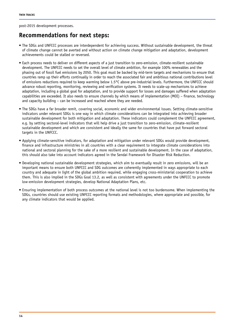post-2015 development processes.

### **Recommendations for next steps:**

- The SDGs and UNFCCC processes are interdependent for achieving success. Without sustainable development, the threat of climate change cannot be averted and without action on climate change mitigation and adaptation, development achievements could be stalled or reversed.
- Each process needs to deliver on different aspects of a just transition to zero-emission, climate-resilient sustainable development. The UNFCCC needs to set the overall level of climate ambition, for example 100% renewables and the phasing out of fossil fuel emissions by 2050. This goal must be backed by mid-term targets and mechanisms to ensure that countries ramp up their efforts continually in order to reach the associated fair and ambitious national contributions level of emissions reductions required to keep warming below 1.5°C above pre-industrial levels. Furthermore, the UNFCCC should advance robust reporting, monitoring, reviewing and verification systems. It needs to scale-up mechanisms to achieve adaptation, including a global goal for adaptation, and to provide support for losses and damages suffered when adaptation capabilities are exceeded. It also needs to ensure channels by which means of implementation (MOI) – finance, technology and capacity building – can be increased and reached where they are needed.
- The SDGs have a far broader remit, covering social, economic and wider environmental issues. Setting climate-sensitive indicators under relevant SDGs is one way in which climate considerations can be integrated into achieving broader sustainable development for both mitigation and adaptation. These indicators could complement the UNFCCC agreement, e.g. by setting sectoral-level indicators that will help drive a just transition to zero-emission, climate-resilient sustainable development and which are consistent and ideally the same for countries that have put forward sectoral targets in the UNFCCC.
- Applying climate-sensitive indicators, for adaptation and mitigation under relevant SDGs would provide development, finance and infrastructure ministries in all countries with a clear requirement to integrate climate considerations into national and sectoral planning for the sake of a more resilient and sustainable development. In the case of adaptation, this should also take into account indicators agreed in the Sendai Framework for Disaster Risk Reduction.
- Developing national sustainable development strategies, which aim to eventually result in zero emissions, will be an important means to ensure both UNFCCC and SDG outcomes are coherently implemented in ways appropriate to each country and adequate in light of the global ambition required, while engaging cross-ministerial cooperation to achieve them. This is also implied in the SDGs Goal 13.2, as well as consistent with agreements under the UNFCCC to promote low-emission development strategies, develop National Adaptation Plans, etc.
- Ensuring implementation of both process outcomes at the national level is not too burdensome. When implementing the SDGs, countries should use existing UNFCCC reporting formats and methodologies, where appropriate and possible, for any climate indicators that would be applied.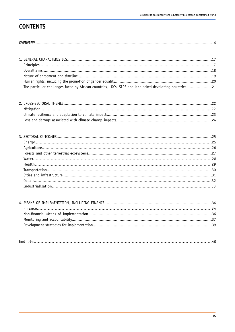## **CONTENTS**

| The particular challenges faced by African countries, LDCs, SIDS and landlocked developing countries21 |  |
|--------------------------------------------------------------------------------------------------------|--|

|--|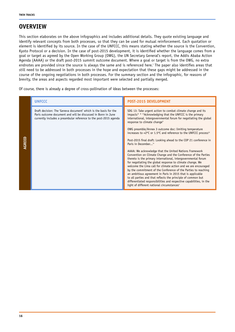### **OVERVIEW**

This section elaborates on the above infographics and includes additional details. They quote existing language and identify relevant concepts from both processes, so that they can be used for mutual reinforcement. Each quotation or element is identified by its source. In the case of the UNFCCC, this means stating whether the source is the Convention, Kyoto Protocol or a decision. In the case of post-2015 development, it is identified whether the language comes from a goal or target as agreed by the Open Working Group (OWG), the UN Secretary General's report, the Addis Ababa Action Agenda (AAAA) or the draft post-2015 summit outcome document. Where a goal or target is from the OWG, no extra endnotes are provided since the source is always the same and is referenced here.<sup>†</sup> The paper also identifies areas that still need to be addressed in both processes in the hope and expectation that these gaps might be addressed in the course of the ongoing negotiations in both processes. For the summary section and the infographic, for reasons of brevity, the areas and aspects regarded most important were selected and partially merged.

Of course, there is already a degree of cross-pollination of ideas between the processes:

|        | <b>UNFCCC</b>                                                                                                                                                                                         | <b>POST-2015 DEVELOPMENT</b>                                                                                                                                                                                                                                                                                                  |
|--------|-------------------------------------------------------------------------------------------------------------------------------------------------------------------------------------------------------|-------------------------------------------------------------------------------------------------------------------------------------------------------------------------------------------------------------------------------------------------------------------------------------------------------------------------------|
|        | Draft decision: The 'Geneva document' which is the basis for the<br>Paris outcome document and will be discussed in Bonn in June<br>currently includes a preambular reference to the post-2015 agenda | SDG 13: Take urgent action to combat climate change and its<br>impacts* * * Acknowledging that the UNFCCC is the primary<br>international, intergovernmental forum for negotiating the global<br>response to climate changeii                                                                                                 |
|        |                                                                                                                                                                                                       | OWG preamble/Annex 3 outcome doc: limiting temperature<br>increases to <2°C or 1.5°C and reference to the UNFCCC process <sup>iii</sup>                                                                                                                                                                                       |
| AGREED |                                                                                                                                                                                                       | Post-2015 final draft: Looking ahead to the COP 21 conference in<br>Paris in December <sup>iv</sup>                                                                                                                                                                                                                           |
|        |                                                                                                                                                                                                       | AAAA: We acknowledge that the United Nations Framework<br>Convention on Climate Change and the Conference of the Parties<br>thereto is the primary international, intergovernmental forum<br>for negotiating the global response to climate change. We<br>welcome the Lima call for climate action and we are encouraged      |
|        |                                                                                                                                                                                                       | by the commitment of the Conference of the Parties to reaching<br>an ambitious agreement in Paris in 2015 that is applicable<br>to all parties and that reflects the principle of common but<br>differentiated responsibilities and respective capabilities, in the<br>light of different national circumstances <sup>v</sup> |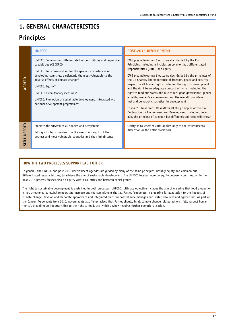### **1. GENERAL CHARACTERISTICS**

### **Principles**

|                        | <b>UNFCCC</b>                                                                                                                                                                                                                                                                                                                                                                                                                                  | <b>POST-2015 DEVELOPMENT</b>                                                                                                                                                                                                                                                                                                                                                                                                                                                                                                                                                                                                                                                                                                                                                                                                                     |
|------------------------|------------------------------------------------------------------------------------------------------------------------------------------------------------------------------------------------------------------------------------------------------------------------------------------------------------------------------------------------------------------------------------------------------------------------------------------------|--------------------------------------------------------------------------------------------------------------------------------------------------------------------------------------------------------------------------------------------------------------------------------------------------------------------------------------------------------------------------------------------------------------------------------------------------------------------------------------------------------------------------------------------------------------------------------------------------------------------------------------------------------------------------------------------------------------------------------------------------------------------------------------------------------------------------------------------------|
| AGREED                 | UNFCCC: Common but differentiated responsibilities and respective<br>capabilities (CBDRRC)vi<br>UNFCCC: Full consideration for the special circumstances of<br>developing countries, particularly the most vulnerable to the<br>adverse effects of climate changevii<br>UNFCCC: Equityvii<br>UNFCCC: Precautionary measuresix<br>UNFCCC: Promotion of sustainable development, integrated with<br>national development programmes <sup>x</sup> | OWG preamble/Annex 3 outcome doc: Guided by the Rio<br>Principles, including principles on common but differentiated<br>responsibilities (CBDR) and equity<br>OWG preamble/Annex 3 outcome doc: Guided by the principles of<br>the UN Charter. The importance of freedom, peace and security,<br>respect for all human rights, including the right to development<br>and the right to an adequate standard of living, including the<br>right to food and water, the rule of law, good governance, gender<br>equality, women's empowerment and the overall commitment to<br>just and democratic societies for development<br>Post-2015 final draft: We reaffirm all the principles of the Rio<br>Declaration on Environment and Development, including, inter<br>alia, the principle of common but differentiated responsibilities. <sup>xi</sup> |
| NEEDED<br><b>STILL</b> | Promote the survival of all species and ecosystems<br>Taking into full consideration the needs and rights of the<br>poorest and most vulnerable countries and their inhabitants                                                                                                                                                                                                                                                                | Clarity as to whether CBDR applies only to the environmental<br>dimension or the entire framework                                                                                                                                                                                                                                                                                                                                                                                                                                                                                                                                                                                                                                                                                                                                                |

### **HOW THE TWO PROCESSES SUPPORT EACH OTHER**

In general, the UNFCCC and post-2015 development agendas are guided by many of the same principles, notably equity and common but differentiated responsibilities, to achieve the aim of sustainable development. The UNFCCC focuses more on equity between countries, while the post-2015 process focuses also on equity within countries and between social groups.

The right to sustainable development is enshrined in both processes. UNFCCC's ultimate objective includes the aim of ensuring that food production is not threatened by global temperature increase and the commitment that all Parties "cooperate in preparing for adaptation to the impacts of climate change; develop and elaborate appropriate and integrated plans for coastal zone management, water resources and agriculture". As part of the Cancun Agreements from 2010, governments also "emphasised that Parties should, in all climate change related actions, fully respect human rights", providing an important link to the right to food, etc, which anyhow requires further operationalisation.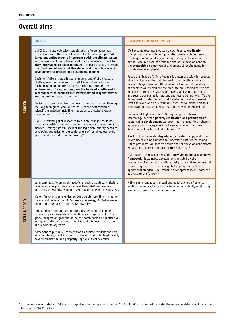# **Overall aims**

|        | <b>UNFCCC</b>                                                                                                                                                                                                                                                                                                                                                                                                                                                                                                                                                                                                                                                                                                                                                                                                                                                                                                                                                                                                                                                                                                                                                                                                                                                                                                                                                                          | <b>POST-2015 DEVELOPMENT</b>                                                                                                                                                                                                                                                                                                                                                                                                                                                                                                                                                                                                                                                                                                                                                                                                                                                                                                                                                                                                                                                                                                                                                                                                                                                                                                                                                                                                                                                                                                                                                                                                                                                                                                                                                                                                                                                                                                  |
|--------|----------------------------------------------------------------------------------------------------------------------------------------------------------------------------------------------------------------------------------------------------------------------------------------------------------------------------------------------------------------------------------------------------------------------------------------------------------------------------------------------------------------------------------------------------------------------------------------------------------------------------------------------------------------------------------------------------------------------------------------------------------------------------------------------------------------------------------------------------------------------------------------------------------------------------------------------------------------------------------------------------------------------------------------------------------------------------------------------------------------------------------------------------------------------------------------------------------------------------------------------------------------------------------------------------------------------------------------------------------------------------------------|-------------------------------------------------------------------------------------------------------------------------------------------------------------------------------------------------------------------------------------------------------------------------------------------------------------------------------------------------------------------------------------------------------------------------------------------------------------------------------------------------------------------------------------------------------------------------------------------------------------------------------------------------------------------------------------------------------------------------------------------------------------------------------------------------------------------------------------------------------------------------------------------------------------------------------------------------------------------------------------------------------------------------------------------------------------------------------------------------------------------------------------------------------------------------------------------------------------------------------------------------------------------------------------------------------------------------------------------------------------------------------------------------------------------------------------------------------------------------------------------------------------------------------------------------------------------------------------------------------------------------------------------------------------------------------------------------------------------------------------------------------------------------------------------------------------------------------------------------------------------------------------------------------------------------------|
| AGREED | UNFCCC: Ultimate objectivestabilisation of greenhouse gas<br>concentrations in the atmosphere at a level that would prevent<br>dangerous anthropogenic interference with the climate system.<br>Such a level should be achieved within a timeframe sufficient to<br>allow ecosystems to adapt naturally to climate change, to ensure<br>that food production is not threatened and to enable economic<br>development to proceed in a sustainable manner<br>Decision: Affirms that climate change is one of the greatest<br>challenges of our time and that all Parties share a vision<br>for long-term cooperative actionincluding through the<br>achievement of a global goal, on the basis of equity and in<br>accordance with common but differentiated responsibilities<br>and respective capabilities <sup>xii</sup><br>Decision: also recognises the need to consider strengthening<br>the long-term global goal on the basis of the best available<br>scientific knowledge, including in relation to a global average<br>temperature rise of 1.5°Cxiii 3<br>UNFCCC: Affirming that responses to climate change should be<br>coordinated with social and economic development in an integrated<br>manner taking into full account the legitimate priority needs of<br>developing countries for the achievement of sustained economic<br>growth and the eradication of povertyxiv | OWG preamble/Annex 3 outcome doc: Poverty eradication,<br>changing unsustainable and promoting sustainable patterns of<br>consumption and production and protecting and managing the<br>natural resource base of economic and social development are<br>the overarching objectives of and essential requirements for<br>sustainable development<br>Post-2015 final draft: This Agenda is a plan of action for people,<br>planet and prosperity that also seeks to strengthen universal<br>peace in larger freedom. All countries acting in collaborative<br>partnership will implement the plan. We are resolved to free the<br>human race from the tyranny of poverty and want and to heal<br>and secure our planet for present and future generations. We are<br>determined to take the bold and transformative steps needed to<br>shift the world on to a sustainable path. As we embark on this<br>collective journey, we pledge that no one will be left behind. <sup>xv</sup><br>Outcome of high level event: Recognising the intrinsic<br>interlinkage between poverty eradication and promotion of<br>sustainable development, we underline the need for a coherent<br>approach which integrates in a balanced manner the three<br>dimensions of sustainable development <sup>xvi</sup><br>AAAA:  Environmental degradation, climate change, and other<br>environmental risks threaten to undermine past successes and<br>future prospects. We need to ensure that our development efforts<br>enhance resilience in the face of these threats. <sup>xvii</sup><br>UNSG Report: A new era demands a new vision and a responsive<br>framework. Sustainable development, enabled by the<br>integration of economic growth, social justice and environmental<br>stewardship, must become our global guiding principle and<br>operational standard Sustainable development is, in short, the<br>pathway to the futurexviii |
| NEEDED | Long-term goal for emission reductions, such that global emissions<br>peak as soon as possible and no later than 2020, and decline<br>drastically afterwards, leading to zero fossil fuel emissions by 2050.<br>Vision for what a zero-emission 2050 would look like, including<br>for a world powered by 100% renewable energy. Global emission<br>budget of 1,000Gt $CO2$ from 2012 onwards <sup>xiv</sup><br>Global adaptation goal on building resilience of all people,<br>community and ecosystem from climate change impacts. The<br>global adaptation goal should be the combination of qualitative<br>and quantitative goals and should include finance. Institution<br>and readiness objectives<br>Agreement to pursue a just transition to climate-resilient and zero-<br>emission development in order to achieve sustainable development,<br>poverty eradication and prosperity (options in Geneva text)                                                                                                                                                                                                                                                                                                                                                                                                                                                                  | A firm commitment to the dual and equal agenda of poverty<br>eradication and sustainable development as mutually reinforcing<br>elements in para 3 of the declaration                                                                                                                                                                                                                                                                                                                                                                                                                                                                                                                                                                                                                                                                                                                                                                                                                                                                                                                                                                                                                                                                                                                                                                                                                                                                                                                                                                                                                                                                                                                                                                                                                                                                                                                                                         |

<sup>3</sup> This review was initiated in 2013, with a report of the findings published on 20 March 2015. Parties will consider the recommendations and make their decisions at COP21 in Paris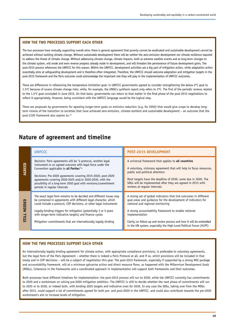The two processes have mutually supporting overall aims: there is general agreement that poverty cannot be eradicated and sustainable development cannot be achieved without tackling climate change. Without sustainable development there will be neither the zero-emission development nor climate resilience required to address the threat of climate change. Without addressing climate change, climate impacts, both as extreme weather events and as long-term changes to the climate system, will erode and even reverse progress already made in development, and will threaten the permanence of future development gains. The post-2015 process references the UNFCCC for this reason. Within the UNFCCC, development activities are a big part of mitigation action, while adaptation action essentially aims at safeguarding development and is therefore often integrated. Therefore, the UNFCCC should welcome adaptation and mitigation targets in the post-2015 framework and the Paris outcome could acknowledge the important role they will play in the implementation of UNFCCC outcomes.

There are differences in referencing the temperature limitation goal: in UNFCCC governments agreed to consider strengthening the below 2ºC goal to 1.5ºC because of severe climate change risks; while, for example, the UNSG's synthesis report only refers to 2ºC. The first of the periodic reviews related to the 1.5ºC goal concluded in June 2015. On that basis, governments can return to that matter in the final phase of the post-2015 negotiations to reflect it appropriately. However, being consistent with the UNFCCC language would be the logical step.

There are proposals by governments for agreeing longer-term goals on emission reduction (e.g. for 2050) that would give scope to develop longterm visions of the transition to societies that have achieved zero-emission, climate-resilient and sustainable development – an outcome that the post-2105 framework also aspires to.xix

### **Nature of agreement and timeline**

|               | <b>UNFCCC</b>                                                                                                                                                                                                                                                                                                                                                                                        | <b>POST-2015 DEVELOPMENT</b>                                                                                                                                                                                                                                                                                                 |
|---------------|------------------------------------------------------------------------------------------------------------------------------------------------------------------------------------------------------------------------------------------------------------------------------------------------------------------------------------------------------------------------------------------------------|------------------------------------------------------------------------------------------------------------------------------------------------------------------------------------------------------------------------------------------------------------------------------------------------------------------------------|
| AGREED        | Decision: Paris agreements will be "a protocol, another legal<br>instrument or an agreed outcome with legal force under the<br>Convention applicable to all Parties"xx<br>Decisions: Pre-2020 agreements covering 2015-2020, post-2020<br>agreements covering 2020-2025 and/or 2020-2030, with the<br>possibility of a long-term 2050 goal with revisions/commitment<br>periods in regular intervals | A universal framework that applies to all countries<br>A voluntary, visionary agreement that will help to focus resources,<br>public and political attention<br>Most targets have the deadline of 2030, some due in 2020. The<br>SDGs will be implemented after they are agreed in 2015 with<br>reviews at regular intervals |
| <b>NEEDEI</b> | The exact legal form remains to be decided and different issues may<br>be contained in agreements with different legal character, which<br>could include a protocol, COP decisions, or other legal instruments<br>Legally-binding triggers for mitigation (potentially 3 or 5 years                                                                                                                  | A strong set of global indicators that link outcomes in different<br>goal areas and quidance for the development of indicators for<br>national and regional monitoring<br>A strong accountability framework to enable national                                                                                               |
| STILL         | with longer-term indicative targets) and finance cycles<br>Mitigation commitments that are internationally legally binding                                                                                                                                                                                                                                                                           | implementation<br>Clarity on follow-up and review process and how it will be embedded<br>in the UN system, especially the High-Level Political Forum (HLPF)                                                                                                                                                                  |

#### **HOW THE TWO PROCESSES SUPPORT EACH OTHER**

An internationally legally binding agreement for climate action, with appropriate compliance provisions, is preferable to voluntary agreements, but the legal form of the Paris Agreement – whether there is indeed a Paris Protocol at all, and if so, which provisions will be included in that treaty and in COP decisions – will be a subject of negotiation this year. The post-2015 framework, especially if supported by a strong MOI package and accountability framework, will at a minimum galvanise action and direct resource flows, as happened with the Millennium Development Goals (MDGs). Coherence in the frameworks and a coordinated approach in implementation will support both frameworks and their outcomes.

Both processes have different timelines for implementation: the post-2015 process will run to 2030, while the UNFCCC currently has commitments to 2020 and a workstream on raising pre-2020 mitigation ambition. The UNFCCC is still to decide whether the next phase of commitments will run to 2025 or to 2030, or indeed both, with binding 2025 targets and indicative ones for 2030. In any case the SDGs, taking over from the MDGs after 2015, could support a lot of commitments agreed for both pre- and post-2020 in the UNFCCC, and could also contribute towards the pre-2020 workstream's aim to increase levels of mitigation.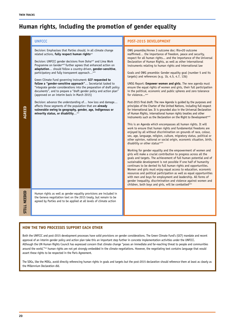### **Human rights, including the promotion of gender equality**

|              | <b>UNFCCC</b>                                                                                                                                                                                                                                                                                                                                                                                                                                                                                                                                                                                                                                                                                                                                                                                                                                                                                                                                 | <b>POST-2015 DEVELOPMENT</b>                                                                                                                                                                                                                                                                                                                                                                                                                                                                                                                                                                                                                                                                                                                                                                                                                                                                                                                                                                                                                                                                                                                                                                                                                                                                                                                                                                                                                                                                                                                                                                                                                                                                                                                                                                                                                                                                                                                                                                                                                                                                                                                                    |
|--------------|-----------------------------------------------------------------------------------------------------------------------------------------------------------------------------------------------------------------------------------------------------------------------------------------------------------------------------------------------------------------------------------------------------------------------------------------------------------------------------------------------------------------------------------------------------------------------------------------------------------------------------------------------------------------------------------------------------------------------------------------------------------------------------------------------------------------------------------------------------------------------------------------------------------------------------------------------|-----------------------------------------------------------------------------------------------------------------------------------------------------------------------------------------------------------------------------------------------------------------------------------------------------------------------------------------------------------------------------------------------------------------------------------------------------------------------------------------------------------------------------------------------------------------------------------------------------------------------------------------------------------------------------------------------------------------------------------------------------------------------------------------------------------------------------------------------------------------------------------------------------------------------------------------------------------------------------------------------------------------------------------------------------------------------------------------------------------------------------------------------------------------------------------------------------------------------------------------------------------------------------------------------------------------------------------------------------------------------------------------------------------------------------------------------------------------------------------------------------------------------------------------------------------------------------------------------------------------------------------------------------------------------------------------------------------------------------------------------------------------------------------------------------------------------------------------------------------------------------------------------------------------------------------------------------------------------------------------------------------------------------------------------------------------------------------------------------------------------------------------------------------------|
| AGREED       | Decision: Emphasises that Parties should, in all climate change<br>related actions, fully respect human rightsxxi<br>Decision: UNFCCC gender decisions from Dohaxxii and Lima Work<br>Programme on Gender <sup>xxiii</sup> further agrees that enhanced action on<br>adaptation should follow a country-driven, gender-sensitive,<br>participatory and fully transparent approach xxiv<br>Green Climate Fund governing instrument: GCF requested to<br>follow a "gender-sensitive approach" Secretariat tasked to<br>"integrate gender considerations into the preparation of draft policy<br>documents", and to prepare a "draft gender policy and action plan"<br>(approved on an interim basis in March 2015)<br>Decision: advance the understanding of how loss and damage<br>affects those segments of the population that are already<br>vulnerable owing to geography, gender, age, indigenous or<br>minority status, or disabilityxxv | OWG preamble/Annex 3 outcome doc: Rio+20 outcome<br>reaffirmed the importance of freedom, peace and security,<br>respect for all human rights and the importance of the Universal<br>Declaration of Human Rights, as well as other international<br>instruments relating to human rights and international law<br>Goals and OWG preamble: Gender equality goal (number 5 and its<br>targets) and references (e.g. 1b, 4.5, 4.7, 13b)<br>UNSG Report: Empower women and girls. The new agenda must<br>ensure the equal rights of women and girls, their full participation<br>in the political, economic and public spheres and zero tolerance<br>for violence <sup>xxvi</sup><br>Post-2015 final draft: The new Agenda is guided by the purposes and<br>principles of the Charter of the United Nations, including full respect<br>for international law. It is grounded also in the Universal Declaration<br>of Human Rights, international human rights treaties and other<br>instruments such as the Declaration on the Right to Development <sup>xxvii</sup><br>This is an Agenda which encompasses all human rights. It will<br>work to ensure that human rights and fundamental freedoms are<br>enjoyed by all without discrimination on grounds of race, colour,<br>sex, age, language, religion, culture, migratory status, political or<br>other opinion, national or social origin, economic situation, birth,<br>disability or other status <sup>xxviii</sup><br>Working for gender equality and the empowerment of women and<br>girls will make a crucial contribution to progress across all the<br>goals and targets. The achievement of full human potential and of<br>sustainable development is not possible if one half of humanity<br>continues to be denied its full human rights and opportunities.<br>Women and girls must enjoy equal access to education, economic<br>resources and political participation as well as equal opportunities<br>with men and boys for employment and leadership. All forms of<br>gender inequality, discrimination and violence against women and<br>children, both boys and girls, will be combattedxxix |
| STILL NEEDED | Human rights as well as gender equality provisions are included in<br>the Geneva negotiation text on the 2015 treaty, but remain to be<br>agreed by Parties and to be applied at all levels of climate action                                                                                                                                                                                                                                                                                                                                                                                                                                                                                                                                                                                                                                                                                                                                 |                                                                                                                                                                                                                                                                                                                                                                                                                                                                                                                                                                                                                                                                                                                                                                                                                                                                                                                                                                                                                                                                                                                                                                                                                                                                                                                                                                                                                                                                                                                                                                                                                                                                                                                                                                                                                                                                                                                                                                                                                                                                                                                                                                 |

### **HOW THE TWO PROCESSES SUPPORT EACH OTHER**

Both the UNFCCC and post-2015 development processes have solid provisions on gender considerations. The Green Climate Fund's (GCF) mandate and recent approval of an interim gender policy and action plan take this an important step further in concrete implementation activities under the UNFCCC. Although the UN Human Rights Council has expressed concern that climate change "poses an immediate and far-reaching threat to people and communities around the world,"xxx human rights are not yet strongly embedded in the climate negotiations. However, the negotiating text contains language that would assert these rights to be respected in the Paris Agreement.

The SDGs, like the MDGs, avoid directly referencing human rights in goals and targets but the post-2015 declaration should reference them at least as clearly as the Millennium Declaration did.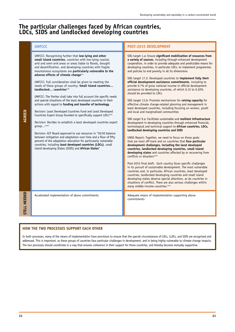### **The particular challenges faced by African countries, LDCs, SIDS and landlocked developing countries**

UNFCCC: Recognising further that **low-lying and other small island countries**, countries with low-lying coastal, arid and semi-arid areas or areas liable to floods, drought and desertification, and developing countries with fragile mountainous ecosystems are **particularly vulnerable to the**  adverse effects of climate change<sup>xxx</sup>

UNFCCC: Full consideration shall be given to meeting the needs of these groups of country: **Small island countries…** landlocked... countries<sup>xxxi</sup>

UNFCCC: The Parties shall take into full account the specific needs and special situations of the least developed countries in their actions with regard to **funding and transfer of technology**

Decision: Least Developed Countries Fund and Least Developed Countries Expert Group founded to specifically support LDCs<sup>xx</sup>

Decision: Decides to establish a least developed countries expert  $aroun...^{xxxii}$ 

Decision: GCF Board approved to use resources in "50:50 balance between mitigation and adaptation over time and a floor of fifty percent of the adaptation allocation for particularly vulnerable countries, including **least developed countries (LDCs)**, small island developing States (SIDS) and **African States**"

**STILL NEEDED**

**STILL** 

**NEEDED** 

**AGREED**

### **UNFCCC POST-2015 DEVELOPMENT**

SDG target 1.a: Ensure **significant mobilisation of resources from a variety of sources**, including through enhanced development cooperation, in order to provide adequate and predictable means for developing countries, in particular LDCs, to implement programmes and policies to end poverty in all its dimensions

SDG target 17.2: Developed countries to **implement fully their official development assistance commitments**, including to provide 0.7% of gross national income in official development assistance to developing countries, of which 0.15 to 0.20% should be provided to LDCs

SDG target 13.b: Promote mechanisms for **raising capacity** for effective climate change-related planning and management in least developed countries, including focusing on women, youth and local and marginalised communities

SDG target 9.a: Facilitate sustainable and **resilient infrastructure** development in developing countries through enhanced financial, technological and technical support to **African countries, LDCs, landlocked developing countries and SIDS** 

UNSG Report: Together, we need to focus on those goals that are most off-track and on countries that **face particular development challenges, including the least developed countries, landlocked developing countries, small island developing states** and countries affected by or recovering from conflicts or disasters<sup>xxxi</sup>

Post-2015 final draft: Each country faces specific challenges in its pursuit of sustainable development. The most vulnerable countries and, in particular, African countries, least developed countries, landlocked developing countries and small island developing states deserve special attention, as do countries in situations of conflict. There are also serious challenges within many middle-income countries. $x^{\text{xxx}}$ 

Accelerated implementation of above commitments **Adequate means of implementation supporting above** commitments

### **HOW THE TWO PROCESSES SUPPORT EACH OTHER**

In both processes, many of the means of implementation have provisions to ensure that the special circumstances of LDCs, LLDCs, and SIDS are recognised and addressed. This is important, as these groups of countries face particular challenges in development, and in being highly vulnerable to climate change impacts. The two processes should coordinate in a way that ensures coherence in their support for those countries, and thereby become mutually supportive.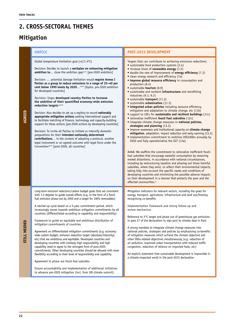### **2. CROSS-SECTORAL THEMES**

### **Mitigation**

#### **UNFCCC POST-2015 DEVELOPMENT** Global temperature limitation goal (<2/1.5ºC) Decision: Decides to launch a **workplan on enhancing mitigation**  ambition to... close the ambition gap<sup>xxxvi</sup> [pre-2020 ambition] Decision: … potential damage limitation would **require Annex I Parties as a group to reduce emissions in a range of 25–40 per**  cent below 1990 levels by 2020...<sup>xxxvii</sup> [Kyoto, pre-2020 ambition for developed countries] Decision: Urges **developed country Parties to increase the ambition of their quantified economy-wide emission**  reduction targets<sup>xxx</sup> Decision: Also decides to set up a registry to record **nationally appropriate mitigation actions** seeking international support and to facilitate matching of finance, technology and capacity-building support for these actions [pre-2020 actions by developing countries] Decision: To invite all Parties to initiate or intensify domestic preparations for their **intended nationally determined contributions**… in the context of adopting a protocol, another legal instrument or an agreed outcome with legal force under the Convention<sup>xxxix</sup> [post-2020, all countries] Targets that can contribute to achieving emissions reductions: • sustainable food production systems (2.4) • increase share of **renewable energy** (7.2) • double the rate of improvement of **energy efficiency** (7.3) • clean energy research and efficiency (7a) • **improve global resource efficiency** in consumption and production (8.4) • sustainable **tourism** (8.9) • sustainable and resilient **infrastructure** and retrofitting industries (9.1; 9.3) • sustainable **transport** (11.2) • sustainable **urbanisation** (11.3) • **integrated urban policies** including resource efficiency, mitigation and adaptation to climate change, etc (11b) • support to LDCs for **sustainable and resilient buildings** (11c) • rationalise inefficient **fossil fuel subsidies** (12c) • integrate climate change measures in **national policies, strategies and planning** (13.2) • improve awareness and institutional capacity on **climate change mitigation**, adaptation, impact reduction and early warning (13.3) implementation commitment to mobilise US\$100bn annually by 2020 and fully operationalise the GCF (13a) AAAA: We reaffirm the commitment to rationalize inefficient fossilfuel subsidies that encourage wasteful consumption by removing market distortions, in accordance with national circumstances, including by restructuring taxation and phasing out those harmful subsidies, where they exist, to reflect their environmental impacts, taking fully into account the specific needs and conditions of developing countries and minimizing the possible adverse impacts on their development in a manner that protects the poor and the affected communities.<sup>xl</sup> Long-term emission reduction/carbon budget goals that are consistent with 1.5 degrees to guide overall efforts (e.g. in the form of a fossil fuel emission phase-out by 2050 and a target for 100% renewables) A ratchet-up cycle based on a 5-year commitment period, which increasingly moves towards ambitious mitigation commitments by all countries (differentiated according to capability and responsibility) Framework to guide an equitable and ambitious distribution of mitigation commitments of countries Agreement on differentiated mitigation commitments (e.g. economywide carbon budget, emission reduction target (absolute/intensity), etc) that are ambitious and equitable. Developed countries and developing countries with similarly high responsibility and high capability need to agree to the strongest form of post-2020 commitments. Other developing countries should be allowed with more flexibility according to their level of responsibility and capability Agreement to phase out fossil fuel subsidies Ensure accountability and implementation of additional initiatives Mitigation indicators for relevant sectors, including the goals for energy, transport, agriculture, infrastructure and land use/forestry, recognising co-benefits Implementation framework and strong follow-up and review mechanism Reference to 2°C target and phase out of greenhouse gas emissions in para 27 of the declaration to sign post to climate deal in Paris A strong mandate to integrate climate change measures into national policies, strategies and policies by emphasising co-benefits of mitigation measures which achieve the climate objective and other SDGs-related objectives simultaneously (e.g. reduction of air pollution, improved urban transportation with reduced traffic congestion, reduction of reliance on imported fuels, etc) An explicit statement that sustainable development is impossible in a climate-impacted world in the post-2015 declaration

**STILL NEEDED**

**TILL NEEDED** 

to advance pre-2020 mitigation (incl. from UN climate summit)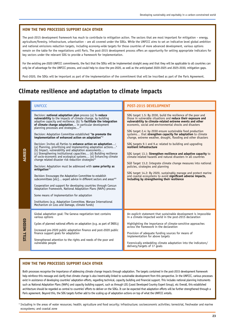The post-2015 development framework has much to contribute to mitigation action. The sectors that are most important for mitigation – energy, agriculture/forestry, infrastructure, urbanisation – are all covered under the SDGs. While the UNFCCC aims to set an indicative level global ambition and national emissions reduction targets, including economy-wide targets for those countries of more advanced development, various options remain on the table for the negotiations until Paris. The post-2015 development process offers an opportunity for setting appropriate indicators for key sectors under the relevant SDG to provide a framework for implementation.

For the existing pre-2020 UNFCCC commitments, the fact that the SDGs will be implemented straight away and that they will be applicable to all countries can only be of advantage for the UNFCCC process, and could help to close the pre-2020, as well as the anticipated 2020-2025 and 2025-2030, mitigation gaps.

Post-2020, the SDGs will be important as part of the implementation of the commitment that will be inscribed as part of the Paris Agreement.

### **Climate resilience and adaptation to climate impacts**

|              | <b>UNFCCC</b>                                                                                                                                                                                                                                                                                                                                                                                                                                                                                                                                                                                                                                                                                                                                                                                                                                                                                                                                                                                                                                                                                                                                                                                                                                                                                                                                                                                               | <b>POST-2015 DEVELOPMENT</b>                                                                                                                                                                                                                                                                                                                                                                                                                                                                                                                                                                                                                                                                                                                                                                                                                                                                                                                                                  |
|--------------|-------------------------------------------------------------------------------------------------------------------------------------------------------------------------------------------------------------------------------------------------------------------------------------------------------------------------------------------------------------------------------------------------------------------------------------------------------------------------------------------------------------------------------------------------------------------------------------------------------------------------------------------------------------------------------------------------------------------------------------------------------------------------------------------------------------------------------------------------------------------------------------------------------------------------------------------------------------------------------------------------------------------------------------------------------------------------------------------------------------------------------------------------------------------------------------------------------------------------------------------------------------------------------------------------------------------------------------------------------------------------------------------------------------|-------------------------------------------------------------------------------------------------------------------------------------------------------------------------------------------------------------------------------------------------------------------------------------------------------------------------------------------------------------------------------------------------------------------------------------------------------------------------------------------------------------------------------------------------------------------------------------------------------------------------------------------------------------------------------------------------------------------------------------------------------------------------------------------------------------------------------------------------------------------------------------------------------------------------------------------------------------------------------|
| AGREED       | Decision: national adaptation plan process (a) To reduce<br>vulnerability to the impacts of climate change, by building<br>adaptive capacity and resilience; (b) To facilitate the integration<br>of climate change adaptation in particular development<br>planning processes and strategies <sup>xii</sup><br>Decision: Adaptation Committee established "to promote the<br>implementation of enhanced action on adaptation"xl<br>Decision: Invites all Parties to enhance action on adaptation:<br>(a) Planning, prioritising and implementing adaptation actions <sup>4</sup><br>(b) Impact, vulnerability and adaptation assessments<br>(c) Strengthening institutional capacities (d) Building resilience<br>of socio-economic and ecological systems (e) Enhancing climate<br>change related disaster risk reduction strategies <sup>xii</sup><br>Decision: Adaptation must be addressed with same priority as<br>mitigation <sup>xlii</sup><br>Decision: Encourages the Adaptation Committee to establish<br>subcommittees [etc] expert advice in different sectors and areas <sup>xliii</sup><br>Cooperation and support for developing countries through Cancun<br>Adaptation Framework, National Adaptation Plans (NAPs) process<br>Some means of implementation for adaptation<br>Institutions (e.g. Adaptation Committee, Warsaw International<br>Mechanism on Loss and Damage, climate funds) | SDG target 1.5: By 2030, build the resilience of the poor and<br>those in vulnerable situations and reduce their exposure and<br>vulnerability to climate-related extreme events and other<br>economic, social and environmental shocks and disasters<br>SDG target 2.4: by 2030 ensure sustainable food production<br>systems that strengthen capacity for adaptation to climate<br>change, extreme weather, drought, flooding and other disasters<br>SDG targets 9.1 and 9.a: related to building and upgrading<br>resilient infrastructure<br>SDG target 13.1: Strengthen resilience and adaptive capacity to<br>climate-related hazards and natural disasters in all countries<br>SGD Target 13.2: Integrate climate change measures into national<br>policies, strategies and planning<br>SDG target 14.2: By 2020, sustainably manage and protect marine<br>and coastal ecosystems to avoid significant adverse impacts,<br>including by strengthening their resilience |
| STILL NEEDED | Global adaptation goal: The Geneva negotiation text contains<br>various options<br>Cycles of planned national efforts on adaptation (e.g. as part of INDCs)<br>Increased pre-2020 public adaptation finance and post-2020 public<br>finance support goals for adaptation<br>Strengthened attention to the rights and needs of the poor and<br>vulnerable people                                                                                                                                                                                                                                                                                                                                                                                                                                                                                                                                                                                                                                                                                                                                                                                                                                                                                                                                                                                                                                             | An explicit statement that sustainable development is impossible<br>in a climate-impacted world in the post-2015 declaration<br>Highlighting the importance of climate-sensitive approaches<br>across the framework in the declaration<br>Provision of adequate funding sources for means of<br>implementation for above targets<br>Forensically embedding climate adaptation into the indicators/<br>delivery/targets of 17 goals                                                                                                                                                                                                                                                                                                                                                                                                                                                                                                                                            |

### **HOW THE TWO PROCESSES SUPPORT EACH OTHER**

Both processes recognise the importance of addressing climate change impacts through adaptation. The targets contained in the post-2015 development framework help reinforce this message and clarify that climate change is also inextricably linked to sustainable development from this perspective. In the UNFCCC, various processes exist in assistance of developing countries' adaptation efforts, regarding technical, capacity building and financial support. This includes national planning instruments such as National Adaptation Plans (NAPs) and capacity building support, such as through LEG (Least Developed Country Expert Group), etc Overall, this established architecture should be regarded as central to countries' efforts to deliver on the SDGs. It can be expected that adaptation efforts will be further strengthened through a Paris agreement. Beyond this, the SDG targets further add to the scaling up of adaptation actions on top of what the UNFCCC entails.

<sup>4</sup> Including in the areas of water resources; health; agriculture and food security; infrastructure; socioeconomic activities; terrestrial, freshwater and marine ecosystems; and coastal zone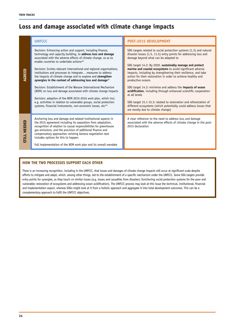### **Loss and damage associated with climate change impacts**

|                 | <b>UNFCCC</b>                                                                                                                                                                                                                                                                                                                                                                                                                                                                                                                                                                                                                                                                                                                                                                                                                                                          | <b>POST-2015 DEVELOPMENT</b>                                                                                                                                                                                                                                                                                                                                                                                                                                                                                                                                                                                                                                                                                                                                                                      |
|-----------------|------------------------------------------------------------------------------------------------------------------------------------------------------------------------------------------------------------------------------------------------------------------------------------------------------------------------------------------------------------------------------------------------------------------------------------------------------------------------------------------------------------------------------------------------------------------------------------------------------------------------------------------------------------------------------------------------------------------------------------------------------------------------------------------------------------------------------------------------------------------------|---------------------------------------------------------------------------------------------------------------------------------------------------------------------------------------------------------------------------------------------------------------------------------------------------------------------------------------------------------------------------------------------------------------------------------------------------------------------------------------------------------------------------------------------------------------------------------------------------------------------------------------------------------------------------------------------------------------------------------------------------------------------------------------------------|
| AGREED          | Decision: Enhancing action and support, including finance,<br>technology and capacity building, to address loss and damage<br>associated with the adverse effects of climate change, so as to<br>enable countries to undertake actions <sup>xliv</sup><br>Decision: Invites relevant international and regional organisations,<br>institutions and processes to integrate measures to address<br>the impacts of climate change and to explore and strengthen<br>synergies in the context of addressing loss and damagexlv<br>Decision: Establishment of the Warsaw International Mechanism<br>(WIM) on loss and damage associated with climate change impacts<br>Decision: adoption of the WIM 2015-2016 work plan, which incl.<br>e.g. activities in relation to vulnerable groups, social protection<br>systems, financial instruments, non-economic losses, etcxlvi | SDG targets related to social protection systems (1.3) and natural<br>disaster losses (1.5, 11.5) entry points for addressing loss and<br>damage beyond what can be adapted to<br>SDG target 14.2: By 2020, sustainably manage and protect<br>marine and coastal ecosystems to avoid significant adverse<br>impacts, including by strengthening their resilience, and take<br>action for their restoration in order to achieve healthy and<br>productive oceans<br>SDG target 14.3: minimise and address the impacts of ocean<br>acidification, including through enhanced scientific cooperation<br>at all levels<br>SDG target 15.1-15.3: related to restoration and reforestation of<br>different ecosystems (which potentially could address losses that<br>are mostly due to climate change) |
| NEEDED<br>STILL | Anchoring loss and damage and related institutional aspects in<br>the 2015 agreement including its separation from adaptation,<br>recognition of relation to causal responsibilities for greenhouse<br>gas emissions, and the provision of additional finance and<br>compensatory approaches: existing Geneva negotiation text<br>includes options for this to happen<br>Full implementation of the WIM work plan and its overall mandate                                                                                                                                                                                                                                                                                                                                                                                                                              | A clear reference to the need to address loss and damage<br>associated with the adverse effects of climate change in the post-<br>2015 declaration                                                                                                                                                                                                                                                                                                                                                                                                                                                                                                                                                                                                                                                |

### **HOW THE TWO PROCESSES SUPPORT EACH OTHER**

There is an increasing recognition, including in the UNFCCC, that losses and damages of climate change impacts will occur at significant scale despite efforts to mitigate and adapt, which. among other things, led to the establishment of a specific mechanism under the UNFCCC. Some SDG targets provide entry points for synergies, as they touch on similar issues (e.g. losses and casualties from disasters; functioning social protection systems for the poor and vulnerable; restoration of ecosystems and addressing ocean acidification). The UNFCCC process may look at this issue the technical, institutional, financial and implementation aspect, whereas SDGs might look at it from a holistic approach and aggregate it into total development outcomes. This can be a complementary approach to fulfil the UNFCCC objectives.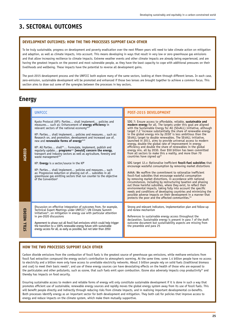### **3. SECTORAL OUTCOMES**

#### **DEVELOPMENT OUTCOMES: HOW THE TWO PROCESSES SUPPORT EACH OTHER**

To be truly sustainable, progress on development and poverty eradication over the next fifteen years will need to take climate action on mitigation and adaption, as well as climate impacts, into account. This means developing in ways that result in very low or zero greenhouse gas emissions and that allow increasing resilience to climate impacts. Extreme weather events and other climate impacts are already being experienced, and are having the greatest impacts on the poorest and most vulnerable people, as they have the least capacity to cope with additional pressures on their livelihoods and wellbeing. These impacts have the potential to reverse all development gains.

The post-2015 development process and the UNFCCC both explore many of the same sectors, looking at them through different lenses. In each case, zero-emission, sustainable development will be promoted and enhanced if those two lenses are brought together to achieve a common focus. This section aims to draw out some of the synergies between the processes in key sectors.

### **Energy**

|                        | <b>UNFCCC</b>                                                                                                                                                                                                                                                                                                                                                                                                                                                                                                                                                                                                                                                                                                                                                                                                                                                        | <b>POST-2015 DEVELOPMENT</b>                                                                                                                                                                                                                                                                                                                                                                                                                                                                                                                                                                                                                                                                                                                                                                                                                                                                                                                                                                                                                                                                                                                                                                                                                                                                                                                                                                                                                                                                                   |
|------------------------|----------------------------------------------------------------------------------------------------------------------------------------------------------------------------------------------------------------------------------------------------------------------------------------------------------------------------------------------------------------------------------------------------------------------------------------------------------------------------------------------------------------------------------------------------------------------------------------------------------------------------------------------------------------------------------------------------------------------------------------------------------------------------------------------------------------------------------------------------------------------|----------------------------------------------------------------------------------------------------------------------------------------------------------------------------------------------------------------------------------------------------------------------------------------------------------------------------------------------------------------------------------------------------------------------------------------------------------------------------------------------------------------------------------------------------------------------------------------------------------------------------------------------------------------------------------------------------------------------------------------------------------------------------------------------------------------------------------------------------------------------------------------------------------------------------------------------------------------------------------------------------------------------------------------------------------------------------------------------------------------------------------------------------------------------------------------------------------------------------------------------------------------------------------------------------------------------------------------------------------------------------------------------------------------------------------------------------------------------------------------------------------------|
| AGREED                 | Kyoto Protocol (KP): Parties shall implement policies and<br>measures such as: Enhancement of energy efficiency in<br>relevant sectors of the national economyxlvii<br>KP: Parties shall implement policies and measures such as:<br>Research on, and promotion, development and increased use of,<br>new and renewable forms of energyxlviii<br>KP: All Parties shallxiv Formulate, implement, publish and<br>regularly update programs xlvi [would] concern the energy,<br>transport and industry sectors as well as agriculture, forestry and<br>waste management <sup>xlix</sup><br>KP: Energy is a sector/source in the $KP1$<br>KP: Parties shall implement policies and measures such<br>as: Progressive reduction or phasing out of subsidies in all<br>greenhouse gas emitting sectors that run counter to the objective<br>of the Convention <sup>ti</sup> | SDG 7: Ensure access to affordable, reliable, sustainable and<br>modern energy for all. The targets under this goal are aligned<br>with the Sustainable Energy for All (SE4ALL) initiative, although<br>target 7.2 'increase substantially the share of renewable energy<br>in the global energy mix by 2030' is less ambitious than the<br>SE4ALL target to double renewables. The SE4ALL initiative,<br>launched in 2011, aims to provide universal access to modern<br>energy, double the global rate of improvement in energy<br>efficiency and double the share of renewables in the global<br>energy mix, all by 2030. Over \$50 billion has been committed<br>from all sectors to make this a reality, and more than 70<br>countries have signed uplii<br>SDG target 12.c: Rationalise inefficient fossil-fuel subsidies that<br>encourage wasteful consumption by removing market distortions<br>AAAA: We reaffirm the commitment to rationalize inefficient<br>fossil-fuel subsidies that encourage wasteful consumption<br>by removing market distortions, in accordance with national<br>circumstances, including by restructuring taxation and phasing<br>out those harmful subsidies, where they exist, to reflect their<br>environmental impacts, taking fully into account the specific<br>needs and conditions of developing countries and minimizing the<br>possible adverse impacts on their development in a manner that<br>protects the poor and the affected communities. <sup>Iiii</sup> |
| <b>NEEDED</b><br>STILL | Discussion on effective integration of outcomes from, for example,<br>Technical Expert Meetings under UNFCCC <sup>ti</sup> ; UN Climate Summit<br>initiatives <sup>tiv</sup> , on mitigation in energy use with particular attention<br>in pre-2020 discussions<br>Agreement to phase out all fossil fuel emissions which could help trigger<br>the transition to a 100% renewable energy future with sustainable<br>energy access for all, as early as possible, but not later than 2050                                                                                                                                                                                                                                                                                                                                                                            | Strong and relevant indicators, implementation plan and follow-up<br>and review mechanism<br>References to sustainable energy access throughout the<br>declaration. Sustainable energy is present in para 7 of the draft<br>outcome document but sustainability aspects are missing from<br>the preamble and para 25                                                                                                                                                                                                                                                                                                                                                                                                                                                                                                                                                                                                                                                                                                                                                                                                                                                                                                                                                                                                                                                                                                                                                                                           |

### **HOW THE TWO PROCESSES SUPPORT EACH OTHER**

Carbon dioxide emissions from the combustion of fossil fuels is the greatest source of greenhouse gas emissions, while methane emissions from fossil fuel extraction compound the energy sector's contribution to atmospheric warming. At the same time, some 1.4 billion people have no access to electricity and a billion more only have access to unreliable electricity networks. About 3 billion people rely on solid fuels (traditional biomass and coal) to meet their basic needs<sup>1</sup>, and use of these energy sources can have devastating effects on the health of those who are exposed to the particulates and other pollutants, such as ozone, that such fuels emit upon combustion. Ozone also adversely impacts crop productivity<sup>lvi</sup> and thereby has impacts on food security.

Ensuring sustainable access to modern and reliable forms of energy will only constitute sustainable development if it is done in such a way that promotes efficient use of sustainable, renewable energy sources and rapidly moves the global energy system away from its use of fossil fuels. This will benefit people directly and indirectly through reducing risks from climate impacts, and in realising important developmental co-benefits. Both processes identify energy as an important sector for both development and mitigation. They both call for policies that improve access to energy and reduce impacts on the climate system, which make them mutually supportive.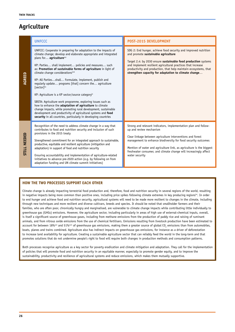### **Agriculture**

|              | <b>UNFCCC</b>                                                                                                                                                                                                                                                                                                                                                                                                                                                                                                                                                                                                                                                                                                                                                                                                                                                                                  | <b>POST-2015 DEVELOPMENT</b>                                                                                                                                                                                                                                                                                                                                                            |
|--------------|------------------------------------------------------------------------------------------------------------------------------------------------------------------------------------------------------------------------------------------------------------------------------------------------------------------------------------------------------------------------------------------------------------------------------------------------------------------------------------------------------------------------------------------------------------------------------------------------------------------------------------------------------------------------------------------------------------------------------------------------------------------------------------------------------------------------------------------------------------------------------------------------|-----------------------------------------------------------------------------------------------------------------------------------------------------------------------------------------------------------------------------------------------------------------------------------------------------------------------------------------------------------------------------------------|
| AGREED       | UNFCCC: Cooperate in preparing for adaptation to the impacts of<br>climate change; develop and elaborate appropriate and integrated<br>plans for agriculture <sup>lvii</sup><br>KP: Parties shall implement policies and measures such<br>as: Promotion of sustainable forms of agriculture in light of<br>climate change considerations <sup>lviii</sup><br>KP: All Partiesshall Formulate, implement, publish and<br>regularly update programs [that] concern the agriculture<br>[sector]lix<br>KP: Agriculture is a KP sector/source category <sup>1x</sup><br>SBSTA: Agriculture work programme, exploring issues such as<br>how to enhance the adaptation of agriculture to climate<br>change impacts, while promoting rural development, sustainable<br>development and productivity of agricultural systems and food<br>security in all countries, particularly in developing countries | SDG 2: End hunger, achieve food security and improved nutrition<br>and promote sustainable agriculture<br>Target 2.4: by 2030 ensure sustainable food production systems<br>and implement resilient agricultural practices that increase<br>productivity and production, that help maintain ecosystems, that<br>strengthen capacity for adaptation to climate change                    |
| STILL NEEDED | Recognition of the need to address climate change in a way that<br>contributes to food and nutrition security and inclusion of such<br>provisions in the 2015 treaty<br>Strengthened commitment for an integrated approach to sustainable,<br>productive, equitable and resilient agriculture (mitigation and<br>adaptation) in support of food and nutrition security<br>Ensuring accountability and implementation of agriculture-related<br>initiatives to advance pre-2020 action (e.g. by following on from<br>adaptation funding and UN climate summit initiatives)                                                                                                                                                                                                                                                                                                                      | Strong and relevant indicators, implementation plan and follow-<br>up and review mechanism<br>Clear linkage between agriculture interventions and forest<br>management to enhance biodiversity for food security outcomes<br>Mention of water and agriculture link, as agriculture is the biggest<br>freshwater consumer, and climate change will increasingly affect<br>water security |

#### **HOW THE TWO PROCESSES SUPPORT EACH OTHER**

Climate change is already impacting terrestrial food production and, therefore, food and nutrition security in several regions of the world, resulting in negative impacts being more common than positive ones, including price spikes following climate extremes in key producing regions<sup>ki</sup>. In order to end hunger and achieve food and nutrition security, agricultural systems will need to be made more resilient to changes in the climate, including through new techniques and more resilient and diverse cultivars, breeds and species. It should be noted that smallholder farmers and their families, who are often poor, chronically hungry and marginalised, are vulnerable to climate change impacts while contributing little individually to greenhouse gas (GHGs) emissions. However, the agriculture sector, including particularly in areas of high use of external-chemical inputs, overall, is itself a significant source of greenhouse gases, including from methane emissions from the production of paddy rice and raising of ruminant animals, and from nitrous oxide emissions from the use of chemical fertilisers. Emissions resulting from livestock production have been estimated to account for between 18%<sup>kii</sup> and 51%<sup>kii</sup>i of greenhouse gas emissions, making them a greater source of global CO<sub>2</sub> emissions than from automobiles, boats, planes and trains combined. Agriculture also has indirect impacts on greenhouse gas emissions, for instance as a driver of deforestation to increase land availability for agriculture. Creating a sustainable agriculture sector that can reliably feed the world in the long-term and that promotes solutions that do not undermine people's right to food will require both changes in production methods and consumption patterns.

Both processes recognise agriculture as a key sector for poverty eradication and climate mitigation and adaptation. They call for the implementation of policies that will promote food and nutrition security in an equitable manner, especially to promote gender equity, and to improve the sustainability, productivity and resilience of agricultural systems and reduce emissions, which makes them mutually supportive.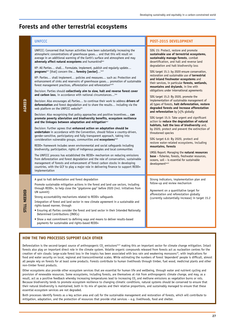### **Forests and other terrestrial ecosystems**

### **UNFCCC POST-2015 DEVELOPMENT**

**AGREED**

**STILL NEEDED**

*STILL NEEDED* 

UNFCCC: Concerned that human activities have been substantially increasing the atmospheric concentrations of greenhouse gases… and that this will result on average in an additional warming of the Earth's surface and atmosphere and may adversely affect natural ecosystems and humankind<sup>bxiv</sup> KP: All Parties… shall… Formulate, implement, publish and regularly update… **programs**<sup>lxvi</sup> [that] concern the... **forestry [sector]...**<sup>lxvii</sup> KP: Parties… shall implement… policies and measures… such as: Protection and enhancement of sinks and reservoirs of greenhouse gases… promotion of sustainable forest management practices, afforestation and reforestation<sup>lxviii</sup> Decision: Parties should **collectively aim to slow, halt and reverse forest cover**  and carbon loss, in accordance with national circumstances...<sup>Lxi</sup> Decision: Also encourages all Parties… to continue their work to address **drivers of deforestation** and forest degradation and to share the results… including via the web platform on the UNFCCC websitelxx Decision: Also recognising that policy approaches and positive incentives… **can promote poverty alleviation and biodiversity benefits, ecosystem resilience**  and the linkages between adaptation and mitigation<sup>bxi</sup> Decision: Further agrees that **enhanced action on adaptation should be undertaken** in accordance with the Convention, should follow a country-driven, gender-sensitive, participatory and fully transparent approach, taking into consideration vulnerable groups, communities and **ecosystems**<sup>bxi</sup> REDD+ framework includes seven environmental and social safeguards including biodiversity, participation, rights of indigenous peoples and local communities The UNFCCC process has established the REDD+ mechanism on reducing emissions from deforestation and forest degradation and the role of conservation, sustainable management of forests and enhancement of forest carbon stocks in developing countries, with the GCF to play a major role in delivering finance to support REDD+ implementation SDG 15: Protect, restore and promote **sustainable use of terrestrial ecosystems, sustainably manage forests**, combat desertification, and halt and reverse land degradation and halt biodiversity loss SDG target 15.1: by 2020 ensure conservation, restoration and sustainable use of **terrestrial and inland freshwater ecosystems** and their services, in particular **forests, wetlands, mountains and drylands**, in line with obligations under international agreements SDG target 15.2: By 2020, promote the implementation of sustainable management of all types of forests, **halt deforestation, restore degraded forests and increase afforestation and reforestation** by [x]% globally SDG target 15.5: Take urgent and significant action to **reduce the degradation of natural habitats, halt the loss of biodiversity** and, by 2020, protect and prevent the extinction of threatened species SDG target 6.6: By 2020, protect and restore water-related ecosystems, including **mountains, forests** UNSG Report: Managing the **natural resources base** – fisheries, forests, freshwater resources, oceans, soil – is essential for sustainable development A goal to halt deforestation and forest degradation Promote sustainable mitigation actions in the forest and land use sectors, including through REDD+, to help close the "gigatonne gap" before 2020 (incl. initiatives from UN summit) Strong accountability mechanisms related to REDD+ safeguards Integration of forest and land sector in new climate agreement in a sustainable and rights-based manner, through • Ensuring all Parties consider the forest and land sector in their Intended Nationally Determined Contributions (INDCs) • Show a real commitment to defining ways and means to deliver results-based payments for sustainable and rights-based REDD+ Strong indicators, implementation plan and follow-up and review mechanism Agreement on a quantitative target for afforestation and reforestation globally (currently substantially increase) in target 15.2

#### **HOW THE TWO PROCESSES SUPPORT EACH OTHER**

Deforestation is the second-largest source of anthropogenic CO<sub>2</sub> emissions<sup>boaiv</sup> making this an important sector for climate change mitigation. Intact forests also play an important direct role in the climate system. Volatile organic compounds released from forests act as nucleation centres for the creation of rain clouds: large-scale forest loss in the tropics has been associated with less rain and weakening monsoons10, with implications for food and water security on local, regional and transcontinental scales. While estimating the numbers of forest 'dependent' people is difficult, almost all people rely on forests for at least some products. Forests contribute to human livelihoods through timber, fuel wood, medicinal plants and other non-timber forest products.

Other ecosystems also provide other ecosystem services that are essential for human life and wellbeing, through water and nutrient cycling and provision of renewable resources. Some ecosystems, including forests, are themselves at risk from anthropogenic climate change, and may, as a result, act as a positive feedback whereby increasing temperatures lead to increasing CO<sub>2</sub> and methane emissions as vegetation burns or rots. Because biodiversity tends to promote ecosystem resilience to changing climatic conditions, natural systems should be conserved to ensure that their natural biodiversity is maintained, both in its mix of species and their relative proportions, and sustainably managed to ensure that these essential ecosystem services are not degraded.

Both processes identify forests as a key action area and call for the sustainable management and restoration of forests, which will contribute to mitigation, adaptation, and the protection of resources that provide vital services – e.g. livelihoods, food and shelter.

**27**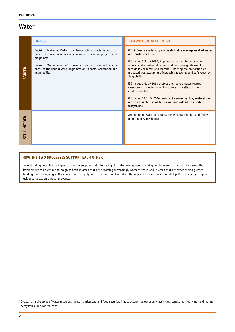### **Water**

|                        | <b>UNFCCC</b>                                                                                                                                                                                                                                                                                                       | <b>POST-2015 DEVELOPMENT</b>                                                                                                                                                                                                                                                                                                                                                                                                                                                                                                                                                                                                                                        |
|------------------------|---------------------------------------------------------------------------------------------------------------------------------------------------------------------------------------------------------------------------------------------------------------------------------------------------------------------|---------------------------------------------------------------------------------------------------------------------------------------------------------------------------------------------------------------------------------------------------------------------------------------------------------------------------------------------------------------------------------------------------------------------------------------------------------------------------------------------------------------------------------------------------------------------------------------------------------------------------------------------------------------------|
| AGREED                 | Decision: Invites all Parties to enhance action on adaptation<br>under the Cancun Adaptation Framework including projects and<br>programmes <sup>5</sup><br>Decision: "Water resources" covered as one focus area in the current<br>phase of the Nairobi Work Programme on Impacts, Adaptation and<br>Vulnerability | SDG 6: Ensure availability and sustainable management of water<br>and sanitation for all<br>SDG target 6.3: by 2030, improve water quality by reducing<br>pollution, eliminating dumping and minimising release of<br>hazardous chemicals and materials, halving the proportion of<br>untreated wastewater, and increasing recycling and safe reuse by<br>x% globally<br>SDG target 6.6: by 2020 protect and restore water-related<br>ecosystems, including mountains, forests, wetlands, rivers,<br>aquifers and lakes<br>SDG target 15.1: By 2020, ensure the conservation, restoration<br>and sustainable use of terrestrial and inland freshwater<br>ecosystems |
| NEEDED<br><b>STILL</b> |                                                                                                                                                                                                                                                                                                                     | Strong and relevant indicators, implementation plan and follow-<br>up and review mechanism                                                                                                                                                                                                                                                                                                                                                                                                                                                                                                                                                                          |

### **HOW THE TWO PROCESSES SUPPORT EACH OTHER**

Understanding how climate impacts on water supplies and integrating this into development planning will be essential in order to ensure that development can continue to progress both in areas that are becoming increasingly water stressed and in areas that are experiencing greater flooding risks. Designing well-managed water supply infrastructure can also reduce the impacts of variations in rainfall patterns, leading to greater resilience to extreme weather events.

<sup>&</sup>lt;sup>5</sup> Including in the areas of water resources; health; agriculture and food security; infrastructure; socioeconomic activities; terrestrial, freshwater and marine ecosystems; and coastal zones.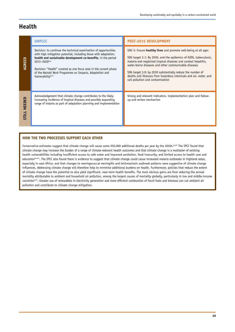### **Health**

|                 | <b>UNFCCC</b>                                                                                                                                                                                                                                                                                                                                                                 | <b>POST-2015 DEVELOPMENT</b>                                                                                                                                                                                                                                                                                                                                                                                                        |
|-----------------|-------------------------------------------------------------------------------------------------------------------------------------------------------------------------------------------------------------------------------------------------------------------------------------------------------------------------------------------------------------------------------|-------------------------------------------------------------------------------------------------------------------------------------------------------------------------------------------------------------------------------------------------------------------------------------------------------------------------------------------------------------------------------------------------------------------------------------|
| AGREED          | Decision: to continue the technical examination of opportunities<br>with high mitigation potential, including those with adaptation,<br>health and sustainable development co-benefits, in the period<br>2015-2020 bxv<br>Decision: "Health" covered as one focus area in the current phase<br>of the Nairobi Work Programme on Impacts, Adaptation and<br>Vulnerabilitylxxvi | SDG 3: Ensure healthy lives and promote well-being at all ages<br>SDG target 3.1: By 2030, end the epidemics of AIDS, tuberculosis,<br>malaria and neglected tropical diseases and combat hepatitis,<br>water-borne diseases and other communicable diseases<br>SDG target 3.9: by 2030 substantially reduce the number of<br>deaths and illnesses from hazardous chemicals and air, water, and<br>soil pollution and contamination |
| NEEDED<br>STILL | Acknowledgement that climate change contributes to the likely<br>increasing incidence of tropical diseases and possible expanding<br>range of malaria as part of adaptation planning and implementation                                                                                                                                                                       | Strong and relevant indicators, implementation plan and follow-<br>up and review mechanism                                                                                                                                                                                                                                                                                                                                          |

### **HOW THE TWO PROCESSES SUPPORT EACH OTHER**

Conservative estimates suggest that climate change will cause some 250,000 additional deaths per year by the 2030s.<sup>Lxxvii</sup> The IPCC found that climate change may increase the burden of a range of climate-relevant health outcomes and that climate change is a multiplier of existing health vulnerabilities including insufficient access to safe water and improved sanitation, food insecurity, and limited access to health care and education<sup>[2076]</sup>. The IPCC also found there is evidence to suggest that climate change could cause increased malaria outbreaks in highland areas, especially in east Africa, and that changes to meningococcal meningitis and leishmaniasis outbreak patterns were suggestive of climate change influences. Addressing climate change will therefore help to minimise additional burdens on health. Furthermore, policies that reduce the extent of climate change have the potential to also yield significant, near-term health benefits. The most obvious gains are from reducing the annual mortality attributable to ambient and household air pollution, among the largest causes of mortality globally, particularly in low and middle-income countrieslxxix. Greater use of renewables in electricity generation and more efficient combustion of fossil fuels and biomass can cut ambient air pollution and contribute to climate change mitigation.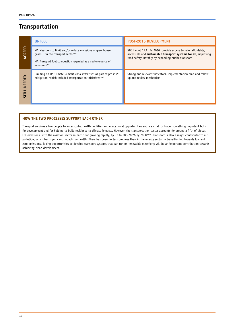### **Transportation**

|                        | <b>UNFCCC</b>                                                                                                                                                                                  | <b>POST-2015 DEVELOPMENT</b>                                                                                                                                                           |
|------------------------|------------------------------------------------------------------------------------------------------------------------------------------------------------------------------------------------|----------------------------------------------------------------------------------------------------------------------------------------------------------------------------------------|
| AGREED                 | KP: Measures to limit and/or reduce emissions of greenhouse<br>gases in the transport sector <sup>1xxx</sup><br>KP: Transport fuel combustion regarded as a sector/source of<br>emissionslxxxi | SDG target 11.2: By 2030, provide access to safe, affordable,<br>accessible and sustainable transport systems for all, improving<br>road safety, notably by expanding public transport |
| NEEDED<br><b>STILL</b> | Building on UN Climate Summit 2014 initiatives as part of pre-2020<br>mitigation, which included transportation initiatives boxiti                                                             | Strong and relevant indicators, implementation plan and follow-<br>up and review mechanism                                                                                             |

### **HOW THE TWO PROCESSES SUPPORT EACH OTHER**

Transport services allow people to access jobs, health facilities and educational opportunities and are vital for trade, something important both for development and for helping to build resilience to climate impacts. However, the transportation sector accounts for around a fifth of global  $\overline{\text{CO}}_2$  emissions, with the aviation sector in particular growing rapidly, by up to 300-700% by 2050 $^{\text{boxiii}}$ . Transport is also a major contributor to air pollution, which has significant impacts on health. There has been far less progress than in the energy sector in transitioning towards low and zero emissions. Taking opportunities to develop transport systems that can run on renewable electricity will be an important contribution towards achieving clean development.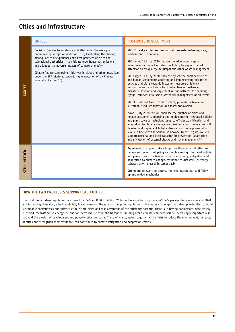### **Cities and infrastructure**

|                               | <b>UNFCCC</b>                                                                                                                                                                                                                                                                                                                                                                                                                                                                                                     | POST-2015 DEVELOPMENT                                                                                                                                                                                                                                                                                                                                                                                                                                                                                                                                                                                                                                                                                                                                                                                                                                                                                                                                                                                                                                                                                                                                                                                                                                                                                                                                        |
|-------------------------------|-------------------------------------------------------------------------------------------------------------------------------------------------------------------------------------------------------------------------------------------------------------------------------------------------------------------------------------------------------------------------------------------------------------------------------------------------------------------------------------------------------------------|--------------------------------------------------------------------------------------------------------------------------------------------------------------------------------------------------------------------------------------------------------------------------------------------------------------------------------------------------------------------------------------------------------------------------------------------------------------------------------------------------------------------------------------------------------------------------------------------------------------------------------------------------------------------------------------------------------------------------------------------------------------------------------------------------------------------------------------------------------------------------------------------------------------------------------------------------------------------------------------------------------------------------------------------------------------------------------------------------------------------------------------------------------------------------------------------------------------------------------------------------------------------------------------------------------------------------------------------------------------|
| AGREED                        | Decision: Decides to accelerate activities under the work plan<br>on enhancing mitigation ambition (b) Facilitating the sharing<br>among Parties of experiences and best practices of cities and<br>subnational authorities to mitigate greenhouse gas emissions<br>and adapt to the adverse impacts of climate changelxxxiv<br>Climate finance supporting initiatives in cities and urban areas (e.g.<br>under the GCF, bilateral support, implementation of UN Climate<br>Summit initiatives <sup>1xxxv</sup> ) | SDG 11: Make cities and human settlements inclusive, safe,<br>resilient and sustainable<br>SDG target 11.6: by 2030, reduce the adverse per capita<br>environmental impact of cities, including by paying special<br>attention to air quality, municipal and other waste management<br>SDG target 11.b: by 2020, increase by x% the number of cities<br>and human settlements adopting and implementing integrated<br>policies and plans towards inclusion, resource efficiency,<br>mitigation and adaptation to climate change, resilience to<br>disasters, develop and implement in line with the forthcoming<br>Hyogo Framework holistic disaster risk management at all levels<br>SDG 9: Build resilient infrastructure, promote inclusive and<br>sustainable industrialisation and foster innovation<br>AAAA: By 2020, we will increase the number of cities and<br>human settlements adopting and implementing integrated policies<br>and plans towards inclusion, resource efficiency, mitigation and<br>adaptation to climate change, and resilience to disasters. We will<br>develop and implement holistic disaster risk management at all<br>levels in line with the Sendai Framework. In this regard, we will<br>support national and local capacity for prevention, adaptation<br>and mitigation of external shocks and risk management. [XXXVi |
| <b>NEEDED</b><br><b>STILL</b> |                                                                                                                                                                                                                                                                                                                                                                                                                                                                                                                   | Agreement on a quantitative target for the number of cities and<br>human settlements adopting and implementing integrated policies<br>and plans towards inclusion, resource efficiency, mitigation and<br>adaptation to climate change, resilience to disasters (currently<br>substantially increase) in target 11.b<br>Strong and relevant indicators, implementation plan and follow-<br>up and review mechanism                                                                                                                                                                                                                                                                                                                                                                                                                                                                                                                                                                                                                                                                                                                                                                                                                                                                                                                                           |

### **HOW THE TWO PROCESSES SUPPORT EACH OTHER**

The total global urban population has risen from 34% in 1960 to 54% in 2014, and is expected to grow at  $\sim$ 1.84% per year between now and 2020 and increasing thereafter, albeit at slightly lower rates<sup>190004</sup>i. The rate of change in population shift creates challenges, but also opportunities to build sustainable communities and infrastructure within cities and take advantage of the efficiency potential there is in having populations more closely clustered, for instance in energy use and for increased use of public transport. Building urban climate resilience will be increasingly important also to avoid the erosion of development and poverty reduction gains. These efficiency gains, together with efforts to reduce the environmental impacts of cities and strengthen their resilience, can contribute to climate mitigation and adaptation efforts.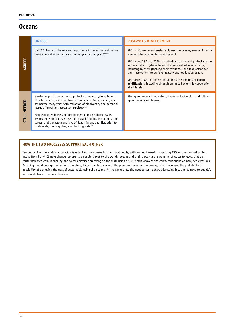### **Oceans**

|                 | <b>UNFCCC</b>                                                                                                                                                                                                                                                                                                                                                                                                                                                                                                                                         | <b>POST-2015 DEVELOPMENT</b>                                                                                                                                                                                                                                                                                                                                                                                                                                                                                                       |
|-----------------|-------------------------------------------------------------------------------------------------------------------------------------------------------------------------------------------------------------------------------------------------------------------------------------------------------------------------------------------------------------------------------------------------------------------------------------------------------------------------------------------------------------------------------------------------------|------------------------------------------------------------------------------------------------------------------------------------------------------------------------------------------------------------------------------------------------------------------------------------------------------------------------------------------------------------------------------------------------------------------------------------------------------------------------------------------------------------------------------------|
| AGREED          | UNFCCC: Aware of the role and importance in terrestrial and marine<br>ecosystems of sinks and reservoirs of greenhouse gases <sup>Lxxxviii</sup>                                                                                                                                                                                                                                                                                                                                                                                                      | SDG 14: Conserve and sustainably use the oceans, seas and marine<br>resources for sustainable development<br>SDG target 14.2: by 2020, sustainably manage and protect marine<br>and coastal ecosystems to avoid significant adverse impacts,<br>including by strengthening their resilience, and take action for<br>their restoration, to achieve healthy and productive oceans<br>SDG target 14.3: minimise and address the impacts of ocean<br>acidification, including through enhanced scientific cooperation<br>at all levels |
| NEEDED<br>STILL | Greater emphasis on action to protect marine ecosystems from<br>climate impacts, including loss of coral cover, Arctic species, and<br>associated ecosystems with reduction of biodiversity and potential<br>losses of important ecosystem services <sup>1xxxix</sup><br>More explicitly addressing developmental and resilience issues<br>associated with sea level rise and coastal flooding including storm<br>surges, and the attendant risks of death, injury, and disruption to<br>livelihoods, food supplies, and drinking water <sup>xc</sup> | Strong and relevant indicators, implementation plan and follow-<br>up and review mechanism                                                                                                                                                                                                                                                                                                                                                                                                                                         |

### **HOW THE TWO PROCESSES SUPPORT EACH OTHER**

Ten per cent of the world's population is reliant on the oceans for their livelihoods, with around three-fifths getting 15% of their animal protein intake from fish<sup>xci</sup>. Climate change represents a double threat to the world's oceans and their biota via the warming of water to levels that can cause increased coral bleaching and water acidification owing to the dissolution of CO<sub>2</sub> which weakens the calciferous shells of many sea creatures. Reducing greenhouse gas emissions, therefore, helps to reduce some of the pressures faced by the oceans, which increases the probability of possibility of achieving the goal of sustainably using the oceans. At the same time, the need arises to start addressing loss and damage to people's livelihoods from ocean acidification.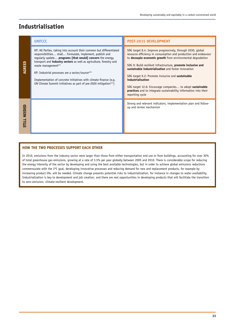### **Industrialisation**

|        | <b>UNFCCC</b>                                                                                                                                                                                                                                                                                                                                                                                                                                                                                                    | POST-2015 DEVELOPMENT                                                                                                                                                                                                                                                                                                                                                                                                                                                                                                                             |
|--------|------------------------------------------------------------------------------------------------------------------------------------------------------------------------------------------------------------------------------------------------------------------------------------------------------------------------------------------------------------------------------------------------------------------------------------------------------------------------------------------------------------------|---------------------------------------------------------------------------------------------------------------------------------------------------------------------------------------------------------------------------------------------------------------------------------------------------------------------------------------------------------------------------------------------------------------------------------------------------------------------------------------------------------------------------------------------------|
| AGREED | KP: All Parties, taking into account their common but differentiated<br>responsibilities shall Formulate, implement, publish and<br>reqularly update programs [that would] concern the energy,<br>transport and <i>industry sectors</i> as well as agriculture, forestry and<br>waste managementxcii<br>KP: Industrial processes are a sector/sourcexciii<br>Implementation of concrete initiatives with climate finance (e.g.<br>UN Climate Summit initiatives as part of pre-2020 mitigation <sup>xciv</sup> ) | SDG target 8.4: Improve progressively, through 2030, global<br>resource efficiency in consumption and production and endeavour<br>to decouple economic growth from environmental degradation<br>SDG 9: Build resilient infrastructure, promote inclusive and<br>sustainable industrialisation and foster innovation<br>SDG target 9.2: Promote inclusive and sustainable<br>industrialisation<br>SDG target 12.6: Encourage companies to adopt sustainable<br>practices and to integrate sustainability information into their<br>reporting cycle |
| NEEDED |                                                                                                                                                                                                                                                                                                                                                                                                                                                                                                                  | Strong and relevant indicators, implementation plan and follow-<br>up and review mechanism                                                                                                                                                                                                                                                                                                                                                                                                                                                        |

### **HOW THE TWO PROCESSES SUPPORT EACH OTHER**

In 2010, emissions from the industry sector were larger than those from either transportation end use or from buildings, accounting for over 30% of total greenhouse gas emissions, growing at a rate of 3.5% per year globally between 2005 and 2010. There is considerable scope for reducing the energy intensity of the sector by developing and using the best available technologies, but in order to achieve global emissions reductions commensurate with the 2ºC goal, developing innovative processes and reducing demand for new and replacement products, for example by increasing product life, will be needed. Climate change presents potential risks to industrialization, for instance in changes to water availability. Industrialization is key to development and job creation, and there are real opportunities in developing products that will facilitate the transition to zero-emission, climate-resilient development.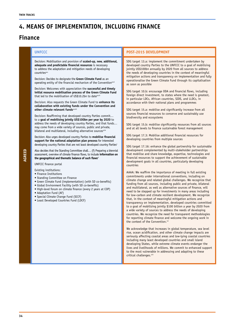### **4. MEANS OF IMPLEMENTATION, INCLUDING FINANCE**

### **Finance**

Decision: Mobilisation and provision of **scaled-up, new, additional, adequate and predictable financial resources** is necessary to address the adaptation and mitigation needs of developing  $countriex<sup>xc</sup>$ 

Decision: Decides to designate the **Green Climate Fund** as an operating entity of the financial mechanism of the Convention<sup>xcvi</sup>

Decision: Welcomes with appreciation the **successful and timely initial resource mobilisation process of the Green Climate Fund** that led to the mobilisation of US\$10.2bn to date<sup>xcv</sup>

Decision: Also requests the Green Climate Fund to **enhance its collaboration with existing funds under the Convention and other climate relevant funds**<sup>xcviii</sup>

Decision: Reaffirming that developed country Parties commit… to a **goal of mobilising jointly US\$100bn per year by 2020** to address the needs of developing country Parties, and that funds… may come from a wide variety of sources, public and private, bilateral and multilateral, including alternative sources<sup>xci</sup>

Decision: Also urges developed country Parties to **mobilise financial support for the national adaptation plan process** for interested developing country Parties that are not least developed country Parties<sup>c</sup>

Also decides that the Standing Committee shall… (f) Preparing a biennial assessment, overview of climate finance flows, to include **information on**  the geographical and thematic balance of such flows<sup>ci</sup>

UNFCCC finance portal

**AGREED**

Existing institutions:

- Finance Institutions
- Standing Committee on Finance
- Green Climate Fund (implementation) (with SD co-benefits)
- Global Environment Facility (with SD co-benefits)
- High-level forum on climate finance (every 2 years at COP)
- Adaptation Fund (AF)
- Special Climate Change Fund (SCCF)
- Least Developed Countries Fund (LDCF)

#### **UNFCCC POST-2015 DEVELOPMENT**

SDG target 13.a: implement the commitment undertaken by developed country Parties to the UNFCCC to a goal of mobilising jointly US\$100bn annually by 2020 from all sources to address the needs of developing countries in the context of meaningful mitigation actions and transparency on implementation and fully operationalise the Green Climate Fund through its capitalisation as soon as possible

SDG target 10.b: encourage ODA and financial flows, including foreign direct investment, to states where the need is greatest, in particular LDCs, African countries, SIDS, and LLDCs, in accordance with their national plans and programmes

SDG target 15.a: mobilise and significantly increase from all sources financial resources to conserve and sustainably use biodiversity and ecosystems

SDG target 15.b: mobilise significantly resources from all sources and at all levels to finance sustainable forest management

SDG target 17.3: Mobilise additional financial resources for developing countries from multiple sources

SDG target 17.16: enhance the global partnership for sustainable development complemented by multi-stakeholder partnerships that mobilise and share knowledge, expertise, technologies and financial resources to support the achievement of sustainable development goals in all countries, particularly developing countries

AAAA: We reaffirm the importance of meeting in full existing commitments under international conventions, including on climate change and related global challenges. We recognize that funding from all sources, including public and private, bilateral and multilateral, as well as alternative sources of finance, will need to be stepped up for investments in many areas including for low-carbon and climate resilient development. We recognize that, in the context of meaningful mitigation actions and transparency on implementation, developed countries committed to a goal of mobilizing jointly \$100 billion a year by 2020 from a wide variety of sources to address the needs of developing countries. We recognize the need for transparent methodologies for reporting climate finance and welcome the ongoing work in the context of the Convention.<sup>cii</sup>

We acknowledge that increases in global temperature, sea level rise, ocean acidification, and other climate change impacts are seriously affecting coastal areas and low-lying coastal countries including many least developed countries and small island developing States, while extreme climate events endanger the lives and livelihoods of millions. We commit to enhanced support to the most vulnerable in addressing and adapting to these critical challenges.<sup>ciii</sup>

**34**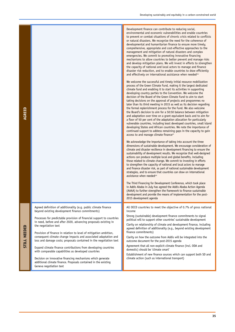| AGREED          |                                                                                                                                                                  | Development finance can contribute to reducing social,<br>environmental and economic vulnerabilities and enable countries<br>to prevent or combat situations of chronic crisis related to conflicts<br>or natural disasters. We recognize the need for the coherence of<br>developmental and humanitarian finance to ensure more timely,<br>comprehensive, appropriate and cost-effective approaches to the<br>management and mitigation of natural disasters and complex<br>emergencies. We commit to promoting innovative financing<br>mechanisms to allow countries to better prevent and manage risks<br>and develop mitigation plans. We will invest in efforts to strengthen<br>the capacity of national and local actors to manage and finance<br>disaster risk reduction, and to enable countries to draw efficiently<br>and effectively on international assistance when needed <sup>civ</sup><br>We welcome the successful and timely initial resource mobilization<br>process of the Green Climate Fund, making it the largest dedicated<br>climate fund and enabling it to start its activities in supporting<br>developing country parties to the Convention. We welcome the<br>decision of the Board of the Green Climate Fund to aim to start<br>taking decisions on the approval of projects and programmes no<br>later than its third meeting in 2015 as well as its decision regarding<br>the formal replenishment process for the Fund. We also welcome<br>the Board's decision to aim for a 50:50 balance between mitigation<br>and adaptation over time on a grant equivalent basis and to aim for<br>a floor of 50 per cent of the adaptation allocation for particularly<br>vulnerable countries, including least developed countries, small island<br>developing States and African countries. We note the importance of<br>continued support to address remaining gaps in the capacity to gain<br>access to and manage climate finance <sup>cv</sup><br>We acknowledge the importance of taking into account the three<br>dimensions of sustainable development. We encourage consideration of<br>climate and disaster resilience in development financing to ensure the<br>sustainability of development results. We recognize that well-designed<br>actions can produce multiple local and global benefits, including<br>those related to climate change. We commit to investing in efforts<br>to strengthen the capacity of national and local actors to manage<br>and finance disaster risk, as part of national sustainable development<br>strategies, and to ensure that countries can draw on international<br>assistance when needed <sup>cvi</sup><br>The Third Financing for Development Conference, which took place<br>in Addis Ababa in July has agreed the Addis Ababa Action Agenda<br>(AAAA) to further strengthen the framework to finance sustainable<br>development and provide the means of implementation for the post-<br>2015 development agenda |
|-----------------|------------------------------------------------------------------------------------------------------------------------------------------------------------------|--------------------------------------------------------------------------------------------------------------------------------------------------------------------------------------------------------------------------------------------------------------------------------------------------------------------------------------------------------------------------------------------------------------------------------------------------------------------------------------------------------------------------------------------------------------------------------------------------------------------------------------------------------------------------------------------------------------------------------------------------------------------------------------------------------------------------------------------------------------------------------------------------------------------------------------------------------------------------------------------------------------------------------------------------------------------------------------------------------------------------------------------------------------------------------------------------------------------------------------------------------------------------------------------------------------------------------------------------------------------------------------------------------------------------------------------------------------------------------------------------------------------------------------------------------------------------------------------------------------------------------------------------------------------------------------------------------------------------------------------------------------------------------------------------------------------------------------------------------------------------------------------------------------------------------------------------------------------------------------------------------------------------------------------------------------------------------------------------------------------------------------------------------------------------------------------------------------------------------------------------------------------------------------------------------------------------------------------------------------------------------------------------------------------------------------------------------------------------------------------------------------------------------------------------------------------------------------------------------------------------------------------------------------------------------------------------------------------------------------------------------------------------------------------------------------------------------------------------------------------------------------------------------------------------------------------------------------------------------------------------|
|                 | Agreed definition of additionality (e.g. public climate finance<br>beyond existing development finance commitments)                                              | All OECD countries to meet the objective of 0.7% of gross national<br>income<br>Strong (sustainable) development finance commitments to signal                                                                                                                                                                                                                                                                                                                                                                                                                                                                                                                                                                                                                                                                                                                                                                                                                                                                                                                                                                                                                                                                                                                                                                                                                                                                                                                                                                                                                                                                                                                                                                                                                                                                                                                                                                                                                                                                                                                                                                                                                                                                                                                                                                                                                                                                                                                                                                                                                                                                                                                                                                                                                                                                                                                                                                                                                                                   |
| NEEDED<br>STILL | Processes for predictable provision of financial support to countries<br>in need, before and after 2020, advancing proposals existing in<br>the negotiation text | political will to support other countries' sustainable development<br>Clarity on relationship of climate and development finance, including<br>agreed definition of additionality (e.g., beyond existing development                                                                                                                                                                                                                                                                                                                                                                                                                                                                                                                                                                                                                                                                                                                                                                                                                                                                                                                                                                                                                                                                                                                                                                                                                                                                                                                                                                                                                                                                                                                                                                                                                                                                                                                                                                                                                                                                                                                                                                                                                                                                                                                                                                                                                                                                                                                                                                                                                                                                                                                                                                                                                                                                                                                                                                             |
|                 | Provision of finance in relation to level of mitigation ambition,<br>consequent climate change impacts and associated adaptation and                             | finance commitments)<br>Clarity on how the outcome from Addis will be integrated into the                                                                                                                                                                                                                                                                                                                                                                                                                                                                                                                                                                                                                                                                                                                                                                                                                                                                                                                                                                                                                                                                                                                                                                                                                                                                                                                                                                                                                                                                                                                                                                                                                                                                                                                                                                                                                                                                                                                                                                                                                                                                                                                                                                                                                                                                                                                                                                                                                                                                                                                                                                                                                                                                                                                                                                                                                                                                                                        |
|                 | loss and damage costs; proposals contained in the negotiation text<br>Expand climate finance contributions from developing countries                             | outcome document for the post-2015 agenda<br>Agreement that all non-explicit climate finance (incl. ODA and                                                                                                                                                                                                                                                                                                                                                                                                                                                                                                                                                                                                                                                                                                                                                                                                                                                                                                                                                                                                                                                                                                                                                                                                                                                                                                                                                                                                                                                                                                                                                                                                                                                                                                                                                                                                                                                                                                                                                                                                                                                                                                                                                                                                                                                                                                                                                                                                                                                                                                                                                                                                                                                                                                                                                                                                                                                                                      |
|                 | with comparable capabilities as developed countries                                                                                                              | domestic) should be 'climate smart'<br>Establishment of new finance sources which can support both SD and                                                                                                                                                                                                                                                                                                                                                                                                                                                                                                                                                                                                                                                                                                                                                                                                                                                                                                                                                                                                                                                                                                                                                                                                                                                                                                                                                                                                                                                                                                                                                                                                                                                                                                                                                                                                                                                                                                                                                                                                                                                                                                                                                                                                                                                                                                                                                                                                                                                                                                                                                                                                                                                                                                                                                                                                                                                                                        |
|                 | Decision on innovative financing mechanisms which generate<br>additional climate finance. Proposals contained in the existing<br>Geneva negotiation text         | climate action (such as international transport)                                                                                                                                                                                                                                                                                                                                                                                                                                                                                                                                                                                                                                                                                                                                                                                                                                                                                                                                                                                                                                                                                                                                                                                                                                                                                                                                                                                                                                                                                                                                                                                                                                                                                                                                                                                                                                                                                                                                                                                                                                                                                                                                                                                                                                                                                                                                                                                                                                                                                                                                                                                                                                                                                                                                                                                                                                                                                                                                                 |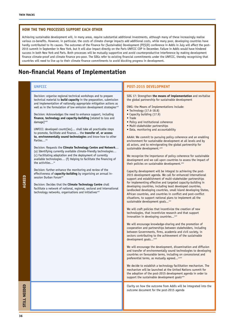Achieving sustainable development will, in many areas, require substantial additional investments, although many of these increasingly realise various co-benefits. However, in particular, the costs of climate change impacts add additional costs, while many poor, developing countries have hardly contributed to its causes. The outcomes of the Finance for (Sustainable) Development (Ff(S)D) conference in Addis in July will affect the post-2015 summit in September in New York, but it will also impact directly on the Paris UNFCCC COP in December. Failure in Addis would have hindered success in both New York and Paris. Both processes will be mutually supportive and avoid counterproductive interference by making development finance climate-proof and climate finance pro-poor. The SDGs refer to existing financial commitments under the UNFCCC, thereby recognising that countries will need to live up to their climate finance commitments to avoid blocking progress in development.

### **Non-financial Means of Implementation**

|                     | <b>UNFCCC</b>                                                                                                                                                                                                                                                                                                                                                                                                                                                                                                                                                                                                                                                                                                                                                                                                                                                                                                                                                                                                                                                                                                                                                                                                                                                                                                                                                                                | POST-2015 DEVELOPMENT                                                                                                                                                                                                                                                                                                                                                                                                                                                                                                                                                                                                                                                                                                                                                                                                                                                                                                                                                                                                                                                                                                                                                                                                                                                                                                                                                                                                                                                                                                                                                                                                                                                                                                                                                                                                                                                                                                                                                                                                                                                                                                                                                                                                                                                                                                                                                                                       |
|---------------------|----------------------------------------------------------------------------------------------------------------------------------------------------------------------------------------------------------------------------------------------------------------------------------------------------------------------------------------------------------------------------------------------------------------------------------------------------------------------------------------------------------------------------------------------------------------------------------------------------------------------------------------------------------------------------------------------------------------------------------------------------------------------------------------------------------------------------------------------------------------------------------------------------------------------------------------------------------------------------------------------------------------------------------------------------------------------------------------------------------------------------------------------------------------------------------------------------------------------------------------------------------------------------------------------------------------------------------------------------------------------------------------------|-------------------------------------------------------------------------------------------------------------------------------------------------------------------------------------------------------------------------------------------------------------------------------------------------------------------------------------------------------------------------------------------------------------------------------------------------------------------------------------------------------------------------------------------------------------------------------------------------------------------------------------------------------------------------------------------------------------------------------------------------------------------------------------------------------------------------------------------------------------------------------------------------------------------------------------------------------------------------------------------------------------------------------------------------------------------------------------------------------------------------------------------------------------------------------------------------------------------------------------------------------------------------------------------------------------------------------------------------------------------------------------------------------------------------------------------------------------------------------------------------------------------------------------------------------------------------------------------------------------------------------------------------------------------------------------------------------------------------------------------------------------------------------------------------------------------------------------------------------------------------------------------------------------------------------------------------------------------------------------------------------------------------------------------------------------------------------------------------------------------------------------------------------------------------------------------------------------------------------------------------------------------------------------------------------------------------------------------------------------------------------------------------------------|
| AGREED              | Decision: organise regional technical workshops and to prepare<br>technical material to <b>build capacity</b> in the preparation, submission<br>and implementation of nationally appropriate mitigation actions as<br>well as in the formulation of low emission development strategies <sup>cvii</sup><br>Decision: Acknowledges the need to enhance support, including<br>finance, technology and capacity-building [related to loss and<br>damage] <sup>cviii</sup><br>UNFCCC: developed countr[ies] shall take all practicable steps<br>to promote, facilitate and finance the transfer of, or access<br>to, environmentally sound technologies and know-how to other<br>Parties <sup>cix</sup><br>Decision: Requests the Climate Technology Centre and Network<br>(a) Identifying currently available climate-friendly technologies<br>(c) Facilitating adaptation and the deployment of currently<br>available technologies (f) Helping to facilitate the financing of<br>the activities $\alpha$<br>Decision: further enhance the monitoring and review of the<br>effectiveness of capacity-building by organising an annual in-<br>session Durban Forum <sup>exi</sup><br>Decision: Decides that the Climate Technology Centre shall<br>facilitate a network of national, regional, sectoral and international<br>technology networks, organisations and initiatives <sup>cxii</sup> | SDG 17: Strengthen the means of implementation and revitalise<br>the global partnership for sustainable development<br>OWG: the Means of Implementations include:<br>• Technology (17.6-18.8)<br>• Capacity building (17.9)<br>• Trade<br>• Policy and institutional coherence<br>• Multi-stakeholder partnerships<br>. Data, monitoring and accountability<br>AAAA: We commit to pursuing policy coherence and an enabling<br>environment for sustainable development at all levels and by<br>all actors, and to reinvigorating the global partnership for<br>sustainable development. <sup>cxiii</sup><br>We recognize the importance of policy coherence for sustainable<br>development and we call upon countries to assess the impact of<br>their policies on sustainable development. <sup>cxiv</sup><br>Capacity development will be integral to achieving the post-<br>2015 development agenda. We call for enhanced international<br>support and establishment of multi-stakeholder partnerships<br>for implementing effective and targeted capacity-building in<br>developing countries, including least developed countries,<br>landlocked developing countries, small island developing States,<br>African countries, and countries in conflict and post-conflict<br>situations, to support national plans to implement all the<br>sustainable development goals <sup>cxv</sup><br>We will craft policies that incentivize the creation of new<br>technologies, that incentivize research and that support<br>innovation in developing countries <sup>cxvi</sup><br>We will encourage knowledge-sharing and the promotion of<br>cooperation and partnerships between stakeholders, including<br>between Governments, firms, academia and civil society, in<br>sectors contributing to the achievement of the sustainable<br>development goals <sup>cxvii</sup><br>We will encourage the development, dissemination and diffusion<br>and transfer of environmentally sound technologies to developing<br>countries on favourable terms, including on concessional and<br>preferential terms, as mutually agreed <sup>cxviii</sup><br>We decide to establish a technology facilitation mechanism. The<br>mechanism will be launched at the United Nations summit for<br>the adoption of the post-2015 development agenda in order to<br>support the sustainable development goals <sup>cxix</sup> |
| <b>STILL NEEDED</b> |                                                                                                                                                                                                                                                                                                                                                                                                                                                                                                                                                                                                                                                                                                                                                                                                                                                                                                                                                                                                                                                                                                                                                                                                                                                                                                                                                                                              | Clarity on how the outcome from Addis will be integrated into the<br>outcome document for the post-2015 agenda                                                                                                                                                                                                                                                                                                                                                                                                                                                                                                                                                                                                                                                                                                                                                                                                                                                                                                                                                                                                                                                                                                                                                                                                                                                                                                                                                                                                                                                                                                                                                                                                                                                                                                                                                                                                                                                                                                                                                                                                                                                                                                                                                                                                                                                                                              |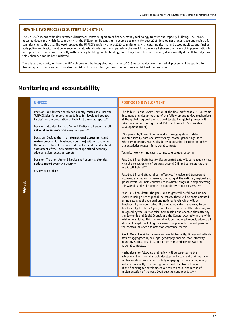The UNFCCC's means of implementation discussions consider, apart from finance, mainly technology transfer and capacity building. The Rio+20 outcome document, which is, together with the Millennium Declaration, a source document for post-2015 development, adds trade and registry for commitments to this list. The OWG replaces the UNFCCC's registry of pre-2020 commitments with data, monitoring and accountability, and further adds policy and institutional coherence and multi-stakeholder partnerships. While the need for coherence between the means of implementation for both processes is obvious, especially with capacity building and technology, since they have them in common, it is currently difficult to judge how this coherence can be best achieved.

There is also no clarity on how the FFD outcome will be integrated into the post-2015 outcome document and what process will be applied to discussing MOI that were not considered in Addis. It is not clear yet how the non-financial MOI will be discussed.

### **Monitoring and accountability**

| <b>UNFCCC</b>                                                                                                                                                                                                                                                                                                                                                                                                                                                                                                                                                                                                                                                                                                                                                                         | POST-2015 DEVELOPMENT                                                                                                                                                                                                                                                                                                                                                                                                                                                                                                                                                                                                                                                                                                                                                                                                                                                                                                                                                                                                                                                                                                                                                                                                                                                                                                                                                                                                                                                                                                                                                                                                                                                                                                                                                                                                                                                                                                                                                                                                                                                                                                                                                                                                                                                                                                                                                                                                                                                                                                                                                 |
|---------------------------------------------------------------------------------------------------------------------------------------------------------------------------------------------------------------------------------------------------------------------------------------------------------------------------------------------------------------------------------------------------------------------------------------------------------------------------------------------------------------------------------------------------------------------------------------------------------------------------------------------------------------------------------------------------------------------------------------------------------------------------------------|-----------------------------------------------------------------------------------------------------------------------------------------------------------------------------------------------------------------------------------------------------------------------------------------------------------------------------------------------------------------------------------------------------------------------------------------------------------------------------------------------------------------------------------------------------------------------------------------------------------------------------------------------------------------------------------------------------------------------------------------------------------------------------------------------------------------------------------------------------------------------------------------------------------------------------------------------------------------------------------------------------------------------------------------------------------------------------------------------------------------------------------------------------------------------------------------------------------------------------------------------------------------------------------------------------------------------------------------------------------------------------------------------------------------------------------------------------------------------------------------------------------------------------------------------------------------------------------------------------------------------------------------------------------------------------------------------------------------------------------------------------------------------------------------------------------------------------------------------------------------------------------------------------------------------------------------------------------------------------------------------------------------------------------------------------------------------------------------------------------------------------------------------------------------------------------------------------------------------------------------------------------------------------------------------------------------------------------------------------------------------------------------------------------------------------------------------------------------------------------------------------------------------------------------------------------------------|
| Decision: Decides that developed country Parties shall use the<br>"UNFCCC biennial reporting guidelines for developed country<br>Parties" for the preparation of their first biennial reports <sup>ox</sup><br>Decision: Also decides that Annex I Parties shall submit a full<br>national communication every four years <sup>oxi</sup><br>Decision: Decides that the international assessment and<br>review process [for developed countries] will be conducted<br>through a technical review of information and a multilateral<br>assessment of the implementation of quantified economy-<br>wide emission reduction targets <sup>cxxii</sup><br>Decision: That non-Annex I Parties shall submit a biennial<br>update report every two years <sup>exiii</sup><br>Review mechanisms | The follow-up and review section of the final draft post-2015 outcome<br>document provides an outline of the follow up and review mechanisms<br>at the global, regional and national levels. The global process will<br>take place under the High Level Political Forum for Sustainable<br>Development (HLPF)<br>OWG preamble/Annex 3 outcome doc: Disaggregation of data<br>and statistics by data and statistics by income, gender, age, race,<br>ethnicity, migratory status, disability, geographic location and other<br>characteristics relevant in national contexts<br>Technical work on indicators to measure targets ongoing<br>Post-2015 final draft: Quality disaggregated data will be needed to help<br>with the measurement of progress beyond GDP and to ensure that no<br>one is left behind <sup>oxiii</sup><br>Post-2015 final draft: A robust, effective, inclusive and transparent<br>follow-up and review framework, operating at the national, regional and<br>global levels, will help countries to maximize progress in implementing<br>this Agenda and will promote accountability to our citizens <sup>oxv</sup><br>Post-2015 final draft: The goals and targets will be followed-up and<br>reviewed using a set of global indicators. These will be complemented<br>by indicators at the regional and national levels which will be<br>developed by member states. The global indicator framework, to be<br>developed by the Inter Agency and Expert Group on SDG Indicators, will<br>be agreed by the UN Statistical Commission and adopted thereafter by<br>the Economic and Social Council and the General Assembly in line with<br>existing mandates. This framework will be simple yet robust, address all<br>SDGs and targets including for means of implementation and preserve<br>the political balance and ambition contained therein.<br>AAAA: We will seek to increase and use high-quality, timely and reliable<br>data disaggregated by sex, age, geography, income, race, ethnicity,<br>migratory status, disability, and other characteristics relevant in<br>national contexts <sup>cxvi</sup><br>Mechanisms for follow-up and review will be essential to the<br>achievement of the sustainable development goals and their means of<br>implementation. We commit to fully engaging, nationally, regionally<br>and internationally, in ensuring proper and effective follow-up<br>of the financing for development outcomes and all the means of<br>implementation of the post-2015 development agenda <sup>cxxvii</sup> |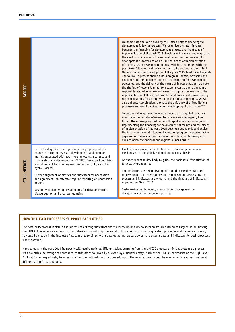| AGREED                                                                                                                                                                                                                                                                                                                                                                                                                                                                                       |                                                                                                                                                                                                                                                                                                                                                                                                                                                                                                                                                                           | We appreciate the role played by the United Nations financing for<br>development follow-up process. We recognize the inter-linkages<br>between the financing for development process and the means of<br>implementation of the post-2015 development agenda, and emphasize<br>the need of a dedicated follow-up and review for the financing for<br>development outcomes as well as all the means of implementation<br>of the post-2015 development agenda, which is integrated with the<br>post-2015 follow-up and review process to be decided at the United<br>Nations summit for the adoption of the post-2015 development agenda.<br>The follow-up process should assess progress, identify obstacles and<br>challenges to the implementation of the financing for development<br>outcomes, and the delivery of the means of implementation, promote<br>the sharing of lessons learned from experiences at the national and<br>regional levels, address new and emerging topics of relevance to the<br>implementation of this agenda as the need arises, and provide policy<br>recommendations for action by the international community. We will<br>also enhance coordination, promote the efficiency of United Nations<br>processes and avoid duplication and overlapping of discussions <sup>cxxvii</sup><br>To ensure a strengthened follow-up process at the global level, we<br>encourage the Secretary-General to convene an inter-agency task<br>forceThe inter-agency task force will report annually on progress in<br>implementing the financing for development outcomes and the means<br>of implementation of the post-2015 development agenda and advise<br>the intergovernmental follow-up thereto on progress, implementation<br>gaps and recommendations for corrective action, while taking into<br>consideration the national and regional dimensions <sup>exxviii</sup> |  |  |
|----------------------------------------------------------------------------------------------------------------------------------------------------------------------------------------------------------------------------------------------------------------------------------------------------------------------------------------------------------------------------------------------------------------------------------------------------------------------------------------------|---------------------------------------------------------------------------------------------------------------------------------------------------------------------------------------------------------------------------------------------------------------------------------------------------------------------------------------------------------------------------------------------------------------------------------------------------------------------------------------------------------------------------------------------------------------------------|--------------------------------------------------------------------------------------------------------------------------------------------------------------------------------------------------------------------------------------------------------------------------------------------------------------------------------------------------------------------------------------------------------------------------------------------------------------------------------------------------------------------------------------------------------------------------------------------------------------------------------------------------------------------------------------------------------------------------------------------------------------------------------------------------------------------------------------------------------------------------------------------------------------------------------------------------------------------------------------------------------------------------------------------------------------------------------------------------------------------------------------------------------------------------------------------------------------------------------------------------------------------------------------------------------------------------------------------------------------------------------------------------------------------------------------------------------------------------------------------------------------------------------------------------------------------------------------------------------------------------------------------------------------------------------------------------------------------------------------------------------------------------------------------------------------------------------------------------------------------------------------------------|--|--|
| STILL NEEDED                                                                                                                                                                                                                                                                                                                                                                                                                                                                                 | Defined categories of mitigation activity, appropriate to<br>countries' differing levels of development, and common<br>metrics associated with each, to promote transparency and<br>comparability, while respecting CBDRRC. Developed countries<br>should commit to economy-wide carbon budgets, as in the<br>Kyoto Protocol<br>Further alignment of metrics and indicators for adaptation<br>and agreements on effective regular reporting on adaptation<br>actions<br>System-wide gender equity standards for data generation,<br>disaggregation and progress reporting | Further development and definition of the follow up and review<br>mechanisms at the global, regional and national levels<br>An independent review body to guide the national differentiation of<br>targets, where required<br>The indicators are being developed through a member state-led<br>process under the Inter Agency and Expert Group. Discussions on<br>process and indicators are ongoing and the final list of indicators is<br>expected for March 2016<br>System-wide gender equity standards for data generation,<br>disaggregation and progress reporting                                                                                                                                                                                                                                                                                                                                                                                                                                                                                                                                                                                                                                                                                                                                                                                                                                                                                                                                                                                                                                                                                                                                                                                                                                                                                                                         |  |  |
|                                                                                                                                                                                                                                                                                                                                                                                                                                                                                              |                                                                                                                                                                                                                                                                                                                                                                                                                                                                                                                                                                           |                                                                                                                                                                                                                                                                                                                                                                                                                                                                                                                                                                                                                                                                                                                                                                                                                                                                                                                                                                                                                                                                                                                                                                                                                                                                                                                                                                                                                                                                                                                                                                                                                                                                                                                                                                                                                                                                                                  |  |  |
| <b>HOW THE TWO PROCESSES SUPPORT EACH OTHER</b>                                                                                                                                                                                                                                                                                                                                                                                                                                              |                                                                                                                                                                                                                                                                                                                                                                                                                                                                                                                                                                           |                                                                                                                                                                                                                                                                                                                                                                                                                                                                                                                                                                                                                                                                                                                                                                                                                                                                                                                                                                                                                                                                                                                                                                                                                                                                                                                                                                                                                                                                                                                                                                                                                                                                                                                                                                                                                                                                                                  |  |  |
| The post-2015 process is still in the process of defining indicators and its follow-up and review mechanism. In both areas they could be drawing<br>from UNFCCC experience and existing indicators and monitoring frameworks. This would also avoid duplicating processes and increase efficiency.<br>It would be greatly in the interest of all countries to simplify the data gathering process by using the same data and indicators for both processes<br>where possible.                |                                                                                                                                                                                                                                                                                                                                                                                                                                                                                                                                                                           |                                                                                                                                                                                                                                                                                                                                                                                                                                                                                                                                                                                                                                                                                                                                                                                                                                                                                                                                                                                                                                                                                                                                                                                                                                                                                                                                                                                                                                                                                                                                                                                                                                                                                                                                                                                                                                                                                                  |  |  |
| Many targets in the post-2015 framework will require national differentiation. Learning from the UNFCCC process, an initial bottom-up process<br>with countries indicating their intended contributions followed by a review by a 'neutral entity', such as the UNFCCC secretariat or the High Level<br>Political Forum respectively, to assess whether the national contributions add up to the required level, could be one model to approach national<br>differentiation for SDG targets. |                                                                                                                                                                                                                                                                                                                                                                                                                                                                                                                                                                           |                                                                                                                                                                                                                                                                                                                                                                                                                                                                                                                                                                                                                                                                                                                                                                                                                                                                                                                                                                                                                                                                                                                                                                                                                                                                                                                                                                                                                                                                                                                                                                                                                                                                                                                                                                                                                                                                                                  |  |  |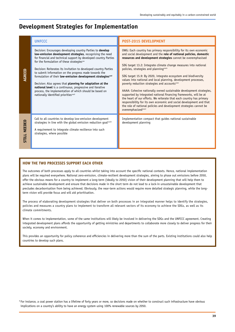### **Development Strategies for Implementation**

|                 | <b>UNFCCC</b>                                                                                                                                                                                                                                                                                                                                                                                                                                                                                                                                                                                                                                                                                           | <b>POST-2015 DEVELOPMENT</b>                                                                                                                                                                                                                                                                                                                                                                                                                                                                                                                                                                                                                                                                                                                                                                                                                                                                                                           |
|-----------------|---------------------------------------------------------------------------------------------------------------------------------------------------------------------------------------------------------------------------------------------------------------------------------------------------------------------------------------------------------------------------------------------------------------------------------------------------------------------------------------------------------------------------------------------------------------------------------------------------------------------------------------------------------------------------------------------------------|----------------------------------------------------------------------------------------------------------------------------------------------------------------------------------------------------------------------------------------------------------------------------------------------------------------------------------------------------------------------------------------------------------------------------------------------------------------------------------------------------------------------------------------------------------------------------------------------------------------------------------------------------------------------------------------------------------------------------------------------------------------------------------------------------------------------------------------------------------------------------------------------------------------------------------------|
| AGREED          | Decision: Encourages developing country Parties to develop<br>low-emission development strategies, recognising the need<br>for financial and technical support by developed country Parties<br>for the formulation of these strategies <sup>cx</sup><br>Decision: Reiterates its invitation to developed country Parties<br>to submit information on the progress made towards the<br>formulation of their low-emission development strategies <sup>cxi</sup><br>Decision: Also agrees that planning for adaptation at the<br>national level is a continuous, progressive and iterative<br>process, the implementation of which should be based on<br>nationally identified priorities <sup>exxii</sup> | OWG: Each country has primary responsibility for its own economic<br>and social development and the role of national policies, domestic<br>resources and development strategies cannot be overemphasised<br>SDG target 13.2: Integrate climate change measures into national<br>policies, strategies and planning <sup>oxiv</sup><br>SDG target 15.9: By 2020, integrate ecosystem and biodiversity<br>values into national and local planning, development processes,<br>poverty reduction strategies and accounts <sup>oxxv</sup><br>AAAA: Cohesive nationally owned sustainable development strategies,<br>supported by integrated national financing frameworks, will be at<br>the heart of our efforts. We reiterate that each country has primary<br>responsibility for its own economic and social development and that<br>the role of national policies and development strategies cannot be<br>overemphasized <sup>oxvi</sup> |
| NEEDED<br>STILL | Call to all countries to develop low-emission development<br>strategies in line with the global emission reduction goal <sup>oxiii</sup><br>A requirement to integrate climate resilience into such<br>strategies, where possible                                                                                                                                                                                                                                                                                                                                                                                                                                                                       | Implementation compact that quides national sustainable<br>development planning                                                                                                                                                                                                                                                                                                                                                                                                                                                                                                                                                                                                                                                                                                                                                                                                                                                        |

### **HOW THE TWO PROCESSES SUPPORT EACH OTHER**

The outcomes of both processes apply to all countries whilst taking into account the specific national contexts. Hence, national implementation plans will be required everywhere. National zero-emission, climate-resilient development strategies, aiming to phase out emissions before 2050, offer the obvious means for a country to implement a long-term (ideally to 2050) vision of their development planning that will help them to achieve sustainable development and ensure that decisions made in the short term do not lead to a lock-in unsustainable development that precludes decarbonisation from being achieved. Obviously, the near-term actions would require more detailed strategic planning, while the longterm vision will provide focus and will aid prioritisation.

The process of elaborating development strategies that deliver on both processes in an integrated manner helps to identify the strategies, policies and measures a country plans to implement to transform all relevant sectors of its economy to achieve the SDGs, as well as its climate commitments.

When it comes to implementation, some of the same institutions will likely be involved in delivering the SDGs and the UNFCCC agreement. Creating integrated development plans affords the opportunity of getting ministries and departments to collaborate more closely to deliver progress for their society, economy and environment.

This provides an opportunity for policy coherence and efficiencies in delivering more than the sum of the parts. Existing institutions could also help countries to develop such plans.

<sup>6</sup> For instance, a coal power station has a lifetime of forty years or more, so decisions made on whether to construct such infrastructure have obvious implications on a country's ability to have an energy system using 100% renewable sources by 2050.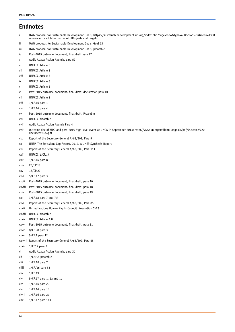| <b>Endnotes</b> |                                                                                                                                                                                                 |  |
|-----------------|-------------------------------------------------------------------------------------------------------------------------------------------------------------------------------------------------|--|
| $\mathbf{i}$    | OWG proposal for Sustainable Development Goals, https://sustainabledevelopment.un.org/index.php?page=view&type=400&nr=1579&menu=1300<br>reference for all later quotes of SDG goals and targets |  |
| jj.             | OWG proposal for Sustainable Development Goals, Goal 13                                                                                                                                         |  |
| iii             | OWG proposal for Sustainable Development Goals, preamble                                                                                                                                        |  |
| i٧              | Post-2015 outcome document, final draft para 27                                                                                                                                                 |  |
| v               | Addis Ababa Action Agenda, para 59                                                                                                                                                              |  |
| vi              | <b>UNFCCC Article 3</b>                                                                                                                                                                         |  |
| vii             | UNFCCC Article 3                                                                                                                                                                                |  |
| viii            | UNFCCC Article 3                                                                                                                                                                                |  |
| iх              | <b>UNFCCC Article 3</b>                                                                                                                                                                         |  |
| x               | <b>UNFCCC Article 3</b>                                                                                                                                                                         |  |
| xi              | Post-2015 outcome document, final draft, declaration para 10                                                                                                                                    |  |
| xii             | <b>UNFCCC Article 2</b>                                                                                                                                                                         |  |
| xiii            | $1/CP.16$ para 1                                                                                                                                                                                |  |
| xiv             | $1$ /CP.16 para 4                                                                                                                                                                               |  |
| XV              | Post-2015 outcome document, final draft, Preamble                                                                                                                                               |  |
| xvi             | UNFCCC preamble                                                                                                                                                                                 |  |
| xvii            | Addis Ababa Action Agenda Para 4                                                                                                                                                                |  |
| xviii           | Outcome doc of MDG and post-2015 high level event at UNGA in September 2013: http://www.un.org/millenniumgoals/pdf/Outcome%20<br>documentMDG.pdf                                                |  |
| xix             | Report of the Secretary General A/68/202, Para 9                                                                                                                                                |  |
| XX              | UNEP, The Emissions Gap Report, 2014, A UNEP Synthesis Report                                                                                                                                   |  |
| xxi             | Report of the Secretary General A/68/202, Para 111                                                                                                                                              |  |
| xxii            | UNFCCC 1/CP.17                                                                                                                                                                                  |  |
| xxiii           | $1/CP.16$ para 8                                                                                                                                                                                |  |
| xxiv            | 23/CP.18                                                                                                                                                                                        |  |
| XXV             | 18/CP.20                                                                                                                                                                                        |  |
| <b>XXVI</b>     | 5/CP.17 para 3                                                                                                                                                                                  |  |
| xxvii           | Post-2015 outcome document, final draft, para 10                                                                                                                                                |  |
| xxviii          | Post-2015 outcome document, final draft, para 18                                                                                                                                                |  |
| xxix            | Post-2015 outcome document, final draft, para 19                                                                                                                                                |  |
| XXX             | 3/CP.18 para 7 and 7ai                                                                                                                                                                          |  |
| xxxi            | Report of the Secretary General A/68/202, Para 85                                                                                                                                               |  |
| xxxii           | United Nations Human Rights Council, Resolution 7/23                                                                                                                                            |  |
| xxxiii          | UNFCCC preamble                                                                                                                                                                                 |  |
| xxxiv           | <b>UNFCCC Article 4.8</b>                                                                                                                                                                       |  |
| XXXV            | Post-2015 outcome document, final draft, para 21                                                                                                                                                |  |
| XXXV1           | 8/CP.20 para 3                                                                                                                                                                                  |  |
| xxxvii          | 5/CP.7 para 12                                                                                                                                                                                  |  |
|                 | xxxviii Report of the Secretary General A/68/202, Para 55                                                                                                                                       |  |
| xxxix           | $1$ /CP17 para 7                                                                                                                                                                                |  |
| xl              | Addis Ababa Action Agenda, para 31                                                                                                                                                              |  |
| xli             | 1/CMP.6 preamble                                                                                                                                                                                |  |
| xlii            | $1/CP.18$ para 7                                                                                                                                                                                |  |
| xliii           | $1/CP/16$ para 53                                                                                                                                                                               |  |
| xliv            | 1/CP.19                                                                                                                                                                                         |  |
| xlv             | 5/CP.17 para 1, 1a and 1b                                                                                                                                                                       |  |
| xlvi            | $1$ /CP.16 para 20                                                                                                                                                                              |  |
| xlvii           | 1/CP.16 para 14                                                                                                                                                                                 |  |
| xlviii          | $1/CP.16$ para 2b                                                                                                                                                                               |  |
| xlix            | 1/CP.17 para 113                                                                                                                                                                                |  |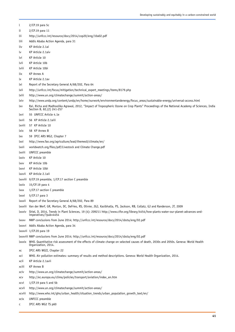| t             | 2/CP.19 para 5c                                                                                                                                                             |
|---------------|-----------------------------------------------------------------------------------------------------------------------------------------------------------------------------|
| li.           | 2/CP.19 para 11                                                                                                                                                             |
| lii           | http://unfccc.int/resource/docs/2014/cop20/eng/10a02.pdf                                                                                                                    |
| liii          | Addis Ababa Action Agenda, para 31                                                                                                                                          |
| liv           | KP Article 2.1ai                                                                                                                                                            |
| l٧            | KP Article 2.1aiv                                                                                                                                                           |
| lvi           | KP Article 10                                                                                                                                                               |
| lvii          | KP Article 10b                                                                                                                                                              |
| lviii         | KP Article 10bi                                                                                                                                                             |
| lix           | <b>KP Annex A</b>                                                                                                                                                           |
| lx            | KP Article 2.1av                                                                                                                                                            |
| lxi           | Report of the Secretary General A/68/202, Para 64                                                                                                                           |
| lxii          | http://unfccc.int/focus/mitigation/technical_expert_meetings/items/8179.php                                                                                                 |
| lxiii         | http://www.un.org/climatechange/summit/action-areas/                                                                                                                        |
| lxiv          | http://www.undp.org/content/undp/en/home/ourwork/environmentandenergy/focus_areas/sustainable-energy/universal-access.html                                                  |
| lxv           | Rai, Richa and Madhoolika Agrawal, 2012, "Impact of Tropospheric Ozone on Crop Plants" Proceedings of the National Academy of Sciences, India<br>Section B, 82, (2) 241-257 |
| lxvi          | 55 UNFCCC Article 4.1e                                                                                                                                                      |
| lxvii         | 56 KP Article 2.1aiii                                                                                                                                                       |
| <b>Lxviii</b> | 57 KP Article 10                                                                                                                                                            |
| lxix          | 58 KP Annex B                                                                                                                                                               |
| lxx           | 59 IPCC AR5 WG2, Chapter 7                                                                                                                                                  |
| lxxi          | http://www.fao.org/agriculture/lead/themes0/climate/en/                                                                                                                     |
| lxxii         | worldwatch.org/files/pdf/Livestock and Climate Change.pdf                                                                                                                   |
| lxxiii        | UNFCCC preamble                                                                                                                                                             |
| lxxiv         | KP Article 10                                                                                                                                                               |
| lxxv          | KP Article 10b                                                                                                                                                              |
| lxxvi         | KP Article 10bi                                                                                                                                                             |
| lxxvii        | KP Article 2.1aii                                                                                                                                                           |
| lxxviii       | 9/CP.19 preamble, 1/CP.17 section C preamble                                                                                                                                |
| lxxix         | 15/CP.19 para 4                                                                                                                                                             |
| lxxx          | 1/CP.17 section C preamble                                                                                                                                                  |
| lxxxi         | 5/CP.17 para 3                                                                                                                                                              |
|               | Ixxxii Report of the Secretary General A/68/202, Para 89                                                                                                                    |
|               | lxxxiii Van der Werf, GR, Morton, DC, DeFries, RS, Olivier, JGJ, Kasibhatla, PS, Jackson, RB, Collatz, GJ and Randerson, JT, 2009                                           |
|               | lxxxiv Shiel, D, 2014, Trends in Plant Sciences, 19 (4): 209211 http://www.cifor.org/library/4454/how-plants-water-our-planet-advances-and-<br>imperatives/?pub=4454        |
| <b>LXXXV</b>  | NWP conclusions from June 2014; http://unfccc.int/resource/docs/2014/sbsta/eng/02.pdf                                                                                       |
|               | Ixxxvi Addis Ababa Action Agenda, para 34                                                                                                                                   |
|               | lxxxvii 1/CP.20 para 19                                                                                                                                                     |
|               | lxxxviii NWP conclusions from June 2014; http://unfccc.int/resource/docs/2014/sbsta/eng/02.pdf                                                                              |
|               | Ixxxix WHO. Quantitative risk assessment of the effects of climate change on selected causes of death, 2030s and 2050s. Geneva: World Health<br>Organization, 2014.         |
| хc            | IPCC AR5 WGII, Chapter 22                                                                                                                                                   |
| XCI           | WHO. Air pollution estimates: summary of results and method descriptions. Geneva: World Health Organization, 2014.                                                          |
| xcii          | KP Article 2.1avii                                                                                                                                                          |
| xciii         | <b>KP Annex B</b>                                                                                                                                                           |
| xciv          | http://www.un.org/climatechange/summit/action-areas/                                                                                                                        |
| XCV           | http://ec.europa.eu/clima/policies/transport/aviation/index_en.htm                                                                                                          |
| <b>XCVI</b>   | $1/CP.19$ para 5 and 5b                                                                                                                                                     |
| xcvii         | http://www.un.org/climatechange/summit/action-areas/                                                                                                                        |
| xcviii        | http://www.who.int/gho/urban_health/situation_trends/urban_population_growth_text/en/                                                                                       |
| xcix          | <b>UNFCCC</b> preamble                                                                                                                                                      |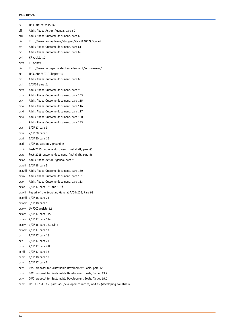#### **TWIN TRACKS**

| сi      | IPCC AR5 WG2 TS p60                                                          |
|---------|------------------------------------------------------------------------------|
| cii     | Addis Ababa Action Agenda, para 60                                           |
| ciii    | Addis Ababa Outcome document, para 65                                        |
| civ     | http://www.fao.org/news/story/en/item/248479/icode/                          |
| CV      | Addis Ababa Outcome document, para 61                                        |
| cvi     | Addis Ababa Outcome document, para 62                                        |
| cvii    | KP Article 10                                                                |
| cviii   | <b>KP Annex B</b>                                                            |
| cix     | http://www.un.org/climatechange/summit/action-areas/                         |
| СX      | IPCC AR5 WGIII Chapter 10                                                    |
| cxi     | Addis Ababa Outcome document, para 66                                        |
| cxii    | $1$ /CP16 para 2d                                                            |
| cxiii   | Addis Ababa Outcome document, para 9                                         |
| cxiv    | Addis Ababa Outcome document, para 103                                       |
| CXV     | Addis Ababa Outcome document, para 115                                       |
| cxvi    | Addis Ababa Outcome document, para 116                                       |
| cxvii   | Addis Ababa Outcome document, para 117                                       |
| cxviii  | Addis Ababa Outcome document, para 120                                       |
| cxix    | Addis Ababa Outcome document, para 123                                       |
| CXX     | 3/CP.17 para 3                                                               |
| cxxi    | $7/CP.20$ para 3                                                             |
| cxxii   | 7/CP.20 para 16                                                              |
| cxxiii  | $1$ /CP.18 section V preamble                                                |
| cxxiv   | Post-2015 outcome document, final draft, para 43                             |
| CXXV    | Post-2015 outcome document, final draft, para 56                             |
| cxxvi   | Addis Ababa Action Agenda, para 9                                            |
| cxxvii  | 9/CP.18 para 5                                                               |
|         | cxxviii Addis Ababa Outcome document, para 130                               |
| cxxix   | Addis Ababa Outcome document, para 131                                       |
| CXXX    | Addis Ababa Outcome document, para 133                                       |
| cxxxi   | $2/CP.17$ para 121 and 121f                                                  |
| cxxxii  | Report of the Secretary General A/68/202, Para 98                            |
|         | cxxxiii 1/CP.18 para 23                                                      |
|         | cxxxiv 3/CP.18 para 1                                                        |
| CXXXV   | UNFCCC Article 4.5                                                           |
|         | $c$ xxxvi $2/CP.17$ para 135                                                 |
|         | cxxxvii 2/CP.17 para 144                                                     |
|         | cxxxviii 1/CP.16 para 123 a,b,c                                              |
|         | $c$ xxxix $2/CP.17$ para 13                                                  |
| cxl     | 2/CP.17 para 14                                                              |
| cxli    | 2/CP.17 para 23                                                              |
| cxlii   | 2/CP.17 para 41f                                                             |
| cxliii  | 2/CP.17 para 38                                                              |
| cxliv   | $1$ /CP.18 para 10                                                           |
| cxlv    | $5/CP.17$ para 2                                                             |
| cxlvi   | OWG proposal for Sustainable Development Goals, para 12                      |
| cxlvii  | OWG proposal for Sustainable Development Goals, Target 13.2                  |
| cxlviii | OWG proposal for Sustainable Development Goals, Target 15.9                  |
| cxlix   | UNFCCC 1/CP.16, paras 45 (developed countries) and 65 (developing countries) |